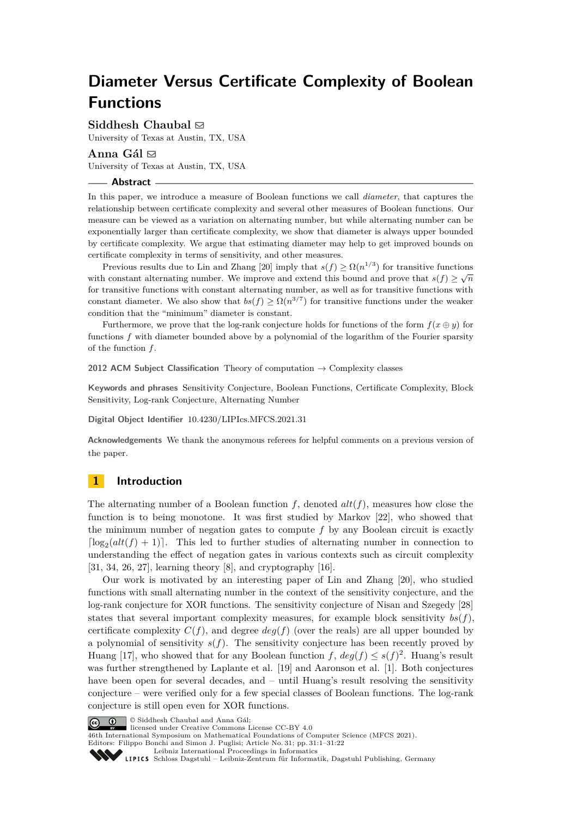# **Diameter Versus Certificate Complexity of Boolean Functions**

Siddhesh Chaubal  $\boxtimes$ 

University of Texas at Austin, TX, USA

# Anna Gál  $\boxdot$

University of Texas at Austin, TX, USA

#### **Abstract**

In this paper, we introduce a measure of Boolean functions we call *diameter*, that captures the relationship between certificate complexity and several other measures of Boolean functions. Our measure can be viewed as a variation on alternating number, but while alternating number can be exponentially larger than certificate complexity, we show that diameter is always upper bounded by certificate complexity. We argue that estimating diameter may help to get improved bounds on certificate complexity in terms of sensitivity, and other measures.

Previous results due to Lin and Zhang [\[20\]](#page-16-0) imply that  $s(f) \geq \Omega(n^{1/3})$  for transitive functions with constant alternating number. We improve and extend this bound and prove that  $s(f) \geq \sqrt{n}$ for transitive functions with constant alternating number, as well as for transitive functions with constant diameter. We also show that  $bs(f) \geq \Omega(n^{3/7})$  for transitive functions under the weaker condition that the "minimum" diameter is constant.

Furthermore, we prove that the log-rank conjecture holds for functions of the form  $f(x \oplus y)$  for functions f with diameter bounded above by a polynomial of the logarithm of the Fourier sparsity of the function *f*.

**2012 ACM Subject Classification** Theory of computation → Complexity classes

**Keywords and phrases** Sensitivity Conjecture, Boolean Functions, Certificate Complexity, Block Sensitivity, Log-rank Conjecture, Alternating Number

**Digital Object Identifier** [10.4230/LIPIcs.MFCS.2021.31](https://doi.org/10.4230/LIPIcs.MFCS.2021.31)

**Acknowledgements** We thank the anonymous referees for helpful comments on a previous version of the paper.

# **1 Introduction**

The alternating number of a Boolean function  $f$ , denoted  $alt(f)$ , measures how close the function is to being monotone. It was first studied by Markov [\[22\]](#page-16-1), who showed that the minimum number of negation gates to compute *f* by any Boolean circuit is exactly  $\lceil \log_2 (alt(f) + 1) \rceil$ . This led to further studies of alternating number in connection to understanding the effect of negation gates in various contexts such as circuit complexity [\[31,](#page-17-0) [34,](#page-17-1) [26,](#page-17-2) [27\]](#page-17-3), learning theory [\[8\]](#page-16-2), and cryptography [\[16\]](#page-16-3).

Our work is motivated by an interesting paper of Lin and Zhang [\[20\]](#page-16-0), who studied functions with small alternating number in the context of the sensitivity conjecture, and the log-rank conjecture for XOR functions. The sensitivity conjecture of Nisan and Szegedy [\[28\]](#page-17-4) states that several important complexity measures, for example block sensitivity  $bs(f)$ , certificate complexity  $C(f)$ , and degree  $deg(f)$  (over the reals) are all upper bounded by a polynomial of sensitivity  $s(f)$ . The sensitivity conjecture has been recently proved by Huang [\[17\]](#page-16-4), who showed that for any Boolean function  $f$ ,  $deg(f) \leq s(f)^2$ . Huang's result was further strengthened by Laplante et al. [\[19\]](#page-16-5) and Aaronson et al. [\[1\]](#page-15-0). Both conjectures have been open for several decades, and – until Huang's result resolving the sensitivity conjecture – were verified only for a few special classes of Boolean functions. The log-rank conjecture is still open even for XOR functions.

© Siddhesh Chaubal and Anna Gál;  $\boxed{6}$   $\boxed{0}$ 

licensed under Creative Commons License CC-BY 4.0

46th International Symposium on Mathematical Foundations of Computer Science (MFCS 2021).

Editors: Filippo Bonchi and Simon J. Puglisi; Article No. 31; pp. 31:1–31:22 [Leibniz International Proceedings in Informatics](https://www.dagstuhl.de/lipics/)



[Schloss Dagstuhl – Leibniz-Zentrum für Informatik, Dagstuhl Publishing, Germany](https://www.dagstuhl.de)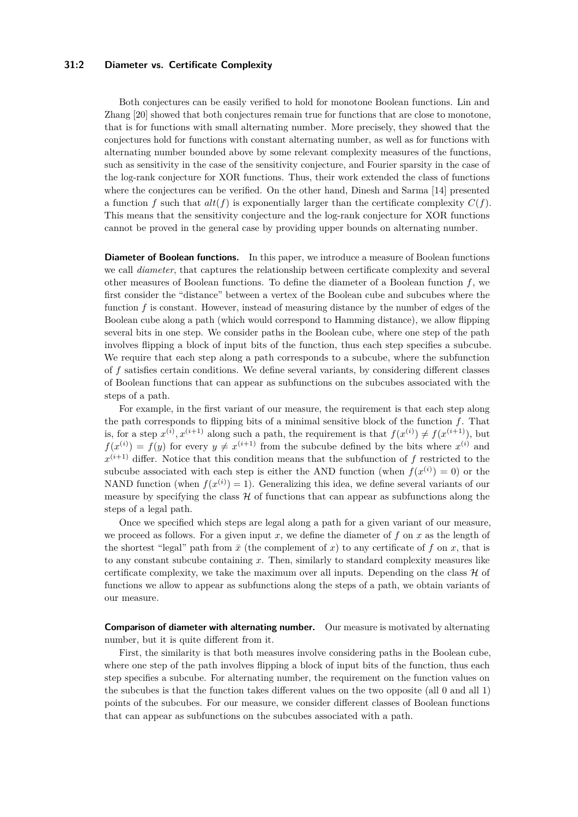### **31:2 Diameter vs. Certificate Complexity**

Both conjectures can be easily verified to hold for monotone Boolean functions. Lin and Zhang [\[20\]](#page-16-0) showed that both conjectures remain true for functions that are close to monotone, that is for functions with small alternating number. More precisely, they showed that the conjectures hold for functions with constant alternating number, as well as for functions with alternating number bounded above by some relevant complexity measures of the functions, such as sensitivity in the case of the sensitivity conjecture, and Fourier sparsity in the case of the log-rank conjecture for XOR functions. Thus, their work extended the class of functions where the conjectures can be verified. On the other hand, Dinesh and Sarma [\[14\]](#page-16-6) presented a function *f* such that  $alt(f)$  is exponentially larger than the certificate complexity  $C(f)$ . This means that the sensitivity conjecture and the log-rank conjecture for XOR functions cannot be proved in the general case by providing upper bounds on alternating number.

**Diameter of Boolean functions.** In this paper, we introduce a measure of Boolean functions we call *diameter*, that captures the relationship between certificate complexity and several other measures of Boolean functions. To define the diameter of a Boolean function *f*, we first consider the "distance" between a vertex of the Boolean cube and subcubes where the function f is constant. However, instead of measuring distance by the number of edges of the Boolean cube along a path (which would correspond to Hamming distance), we allow flipping several bits in one step. We consider paths in the Boolean cube, where one step of the path involves flipping a block of input bits of the function, thus each step specifies a subcube. We require that each step along a path corresponds to a subcube, where the subfunction of *f* satisfies certain conditions. We define several variants, by considering different classes of Boolean functions that can appear as subfunctions on the subcubes associated with the steps of a path.

For example, in the first variant of our measure, the requirement is that each step along the path corresponds to flipping bits of a minimal sensitive block of the function *f*. That is, for a step  $x^{(i)}$ ,  $x^{(i+1)}$  along such a path, the requirement is that  $f(x^{(i)}) \neq f(x^{(i+1)})$ , but  $f(x^{(i)}) = f(y)$  for every  $y \neq x^{(i+1)}$  from the subcube defined by the bits where  $x^{(i)}$  and  $x^{(i+1)}$  differ. Notice that this condition means that the subfunction of *f* restricted to the subcube associated with each step is either the AND function (when  $f(x^{(i)}) = 0$ ) or the NAND function (when  $f(x^{(i)}) = 1$ ). Generalizing this idea, we define several variants of our measure by specifying the class  $H$  of functions that can appear as subfunctions along the steps of a legal path.

Once we specified which steps are legal along a path for a given variant of our measure, we proceed as follows. For a given input *x*, we define the diameter of *f* on *x* as the length of the shortest "legal" path from  $\bar{x}$  (the complement of x) to any certificate of f on x, that is to any constant subcube containing *x*. Then, similarly to standard complexity measures like certificate complexity, we take the maximum over all inputs. Depending on the class  $H$  of functions we allow to appear as subfunctions along the steps of a path, we obtain variants of our measure.

**Comparison of diameter with alternating number.** Our measure is motivated by alternating number, but it is quite different from it.

First, the similarity is that both measures involve considering paths in the Boolean cube, where one step of the path involves flipping a block of input bits of the function, thus each step specifies a subcube. For alternating number, the requirement on the function values on the subcubes is that the function takes different values on the two opposite (all 0 and all 1) points of the subcubes. For our measure, we consider different classes of Boolean functions that can appear as subfunctions on the subcubes associated with a path.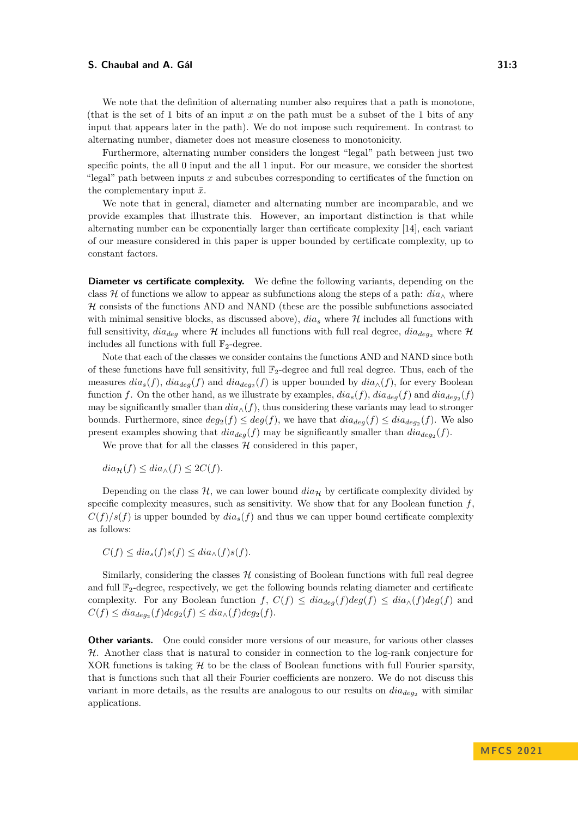We note that the definition of alternating number also requires that a path is monotone, (that is the set of 1 bits of an input *x* on the path must be a subset of the 1 bits of any input that appears later in the path). We do not impose such requirement. In contrast to alternating number, diameter does not measure closeness to monotonicity.

Furthermore, alternating number considers the longest "legal" path between just two specific points, the all 0 input and the all 1 input. For our measure, we consider the shortest "legal" path between inputs *x* and subcubes corresponding to certificates of the function on the complementary input  $\bar{x}$ .

We note that in general, diameter and alternating number are incomparable, and we provide examples that illustrate this. However, an important distinction is that while alternating number can be exponentially larger than certificate complexity [\[14\]](#page-16-6), each variant of our measure considered in this paper is upper bounded by certificate complexity, up to constant factors.

**Diameter vs certificate complexity.** We define the following variants, depending on the class H of functions we allow to appear as subfunctions along the steps of a path:  $dia_\wedge$  where  $H$  consists of the functions AND and NAND (these are the possible subfunctions associated with minimal sensitive blocks, as discussed above),  $dia_s$  where  $H$  includes all functions with full sensitivity,  $dia_{deg}$  where  $H$  includes all functions with full real degree,  $dia_{deg}$  where  $H$ includes all functions with full  $\mathbb{F}_2$ -degree.

Note that each of the classes we consider contains the functions AND and NAND since both of these functions have full sensitivity, full  $\mathbb{F}_2$ -degree and full real degree. Thus, each of the measures  $dia_s(f)$ ,  $dia_{deg}(f)$  and  $dia_{deg_2}(f)$  is upper bounded by  $dia_{\wedge}(f)$ , for every Boolean function *f*. On the other hand, as we illustrate by examples,  $dia_s(f)$ ,  $dia_{deg}(f)$  and  $dia_{deg_2}(f)$ may be significantly smaller than  $dia_{\wedge}(f)$ , thus considering these variants may lead to stronger bounds. Furthermore, since  $deg_2(f) \leq deg(f)$ , we have that  $dia_{deg}(f) \leq dia_{deg_2}(f)$ . We also present examples showing that  $dia_{deg}(f)$  may be significantly smaller than  $dia_{deg}(f)$ .

We prove that for all the classes  $\mathcal H$  considered in this paper,

 $diag(f) \leq dia_{\wedge}(f) \leq 2C(f)$ .

Depending on the class  $\mathcal{H}$ , we can lower bound  $dia_{\mathcal{H}}$  by certificate complexity divided by specific complexity measures, such as sensitivity. We show that for any Boolean function  $f$ ,  $C(f)/s(f)$  is upper bounded by  $dia_s(f)$  and thus we can upper bound certificate complexity as follows:

$$
C(f) \leq dia_s(f)s(f) \leq dia_\wedge(f)s(f).
$$

Similarly, considering the classes  $H$  consisting of Boolean functions with full real degree and full  $\mathbb{F}_2$ -degree, respectively, we get the following bounds relating diameter and certificate complexity. For any Boolean function  $f, C(f) \leq dia_{deg}(f)deg(f) \leq dia_{\wedge}(f)deg(f)$  and  $C(f) \leq dia_{deg_2}(f)deg_2(f) \leq dia_{\wedge}(f)deg_2(f).$ 

**Other variants.** One could consider more versions of our measure, for various other classes  $H$ . Another class that is natural to consider in connection to the log-rank conjecture for XOR functions is taking  $H$  to be the class of Boolean functions with full Fourier sparsity, that is functions such that all their Fourier coefficients are nonzero. We do not discuss this variant in more details, as the results are analogous to our results on  $dia_{deg_2}$  with similar applications.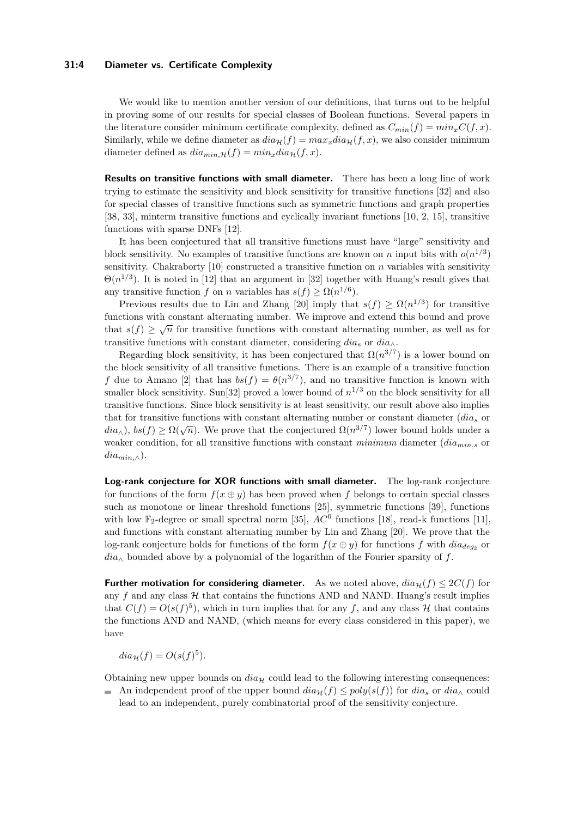### **31:4 Diameter vs. Certificate Complexity**

We would like to mention another version of our definitions, that turns out to be helpful in proving some of our results for special classes of Boolean functions. Several papers in the literature consider minimum certificate complexity, defined as  $C_{min}(f) = min_{x} C(f, x)$ . Similarly, while we define diameter as  $dia_{\mathcal{H}}(f) = max_x dia_{\mathcal{H}}(f, x)$ , we also consider minimum diameter defined as  $diam_{in,\mathcal{H}}(f) = min_x diam_{\mathcal{H}}(f, x)$ .

**Results on transitive functions with small diameter.** There has been a long line of work trying to estimate the sensitivity and block sensitivity for transitive functions [\[32\]](#page-17-5) and also for special classes of transitive functions such as symmetric functions and graph properties [\[38,](#page-17-6) [33\]](#page-17-7), minterm transitive functions and cyclically invariant functions [\[10,](#page-16-7) [2,](#page-15-1) [15\]](#page-16-8), transitive functions with sparse DNFs [\[12\]](#page-16-9).

It has been conjectured that all transitive functions must have "large" sensitivity and block sensitivity. No examples of transitive functions are known on *n* input bits with  $o(n^{1/3})$ sensitivity. Chakraborty [\[10\]](#page-16-7) constructed a transitive function on *n* variables with sensitivity  $\Theta(n^{1/3})$ . It is noted in [\[12\]](#page-16-9) that an argument in [\[32\]](#page-17-5) together with Huang's result gives that any transitive function *f* on *n* variables has  $s(f) \ge \Omega(n^{1/6})$ .

Previous results due to Lin and Zhang [\[20\]](#page-16-0) imply that  $s(f) \geq \Omega(n^{1/3})$  for transitive functions with constant alternating number. We improve and extend this bound and prove that  $s(f) \geq \sqrt{n}$  for transitive functions with constant alternating number, as well as for transitive functions with constant diameter, considering  $dia_s$  or  $dia_\wedge$ .

Regarding block sensitivity, it has been conjectured that  $\Omega(n^{3/7})$  is a lower bound on the block sensitivity of all transitive functions. There is an example of a transitive function *f* due to Amano [\[2\]](#page-15-1) that has  $bs(f) = \theta(n^{3/7})$ , and no transitive function is known with smaller block sensitivity. Sun<sup>[\[32\]](#page-17-5)</sup> proved a lower bound of  $n^{1/3}$  on the block sensitivity for all transitive functions. Since block sensitivity is at least sensitivity, our result above also implies that for transitive functions with constant alternating number or constant diameter (*dia<sup>s</sup>* or *dia*<sub> $\wedge$ </sub>), *bs*(*f*)  $\geq \Omega(\sqrt{n})$ . We prove that the conjectured  $\Omega(n^{3/7})$  lower bound holds under a weaker condition, for all transitive functions with constant *minimum* diameter (*diamin,s* or  $dia_{min,\wedge}$ ).

**Log-rank conjecture for XOR functions with small diameter.** The log-rank conjecture for functions of the form  $f(x \oplus y)$  has been proved when f belongs to certain special classes such as monotone or linear threshold functions [\[25\]](#page-17-8), symmetric functions [\[39\]](#page-17-9), functions with low  $\mathbb{F}_2$ -degree or small spectral norm [\[35\]](#page-17-10),  $AC^0$  functions [\[18\]](#page-16-10), read-k functions [\[11\]](#page-16-11), and functions with constant alternating number by Lin and Zhang [\[20\]](#page-16-0). We prove that the log-rank conjecture holds for functions of the form  $f(x \oplus y)$  for functions  $f$  with  $dia_{deg_2}$  or *dia*<sup>∧</sup> bounded above by a polynomial of the logarithm of the Fourier sparsity of *f*.

**Further motivation for considering diameter.** As we noted above,  $dia_{\mathcal{H}}(f) \leq 2C(f)$  for any  $f$  and any class  $H$  that contains the functions AND and NAND. Huang's result implies that  $C(f) = O(s(f)^5)$ , which in turn implies that for any f, and any class H that contains the functions AND and NAND, (which means for every class considered in this paper), we have

 $dia_{\mathcal{H}}(f) = O(s(f)^5).$ 

Obtaining new upper bounds on  $dia_{\mathcal{H}}$  could lead to the following interesting consequences:

An independent proof of the upper bound  $dia_{\mathcal{H}}(f) \leq poly(s(f))$  for  $dia_s$  or  $dia_\wedge$  could lead to an independent, purely combinatorial proof of the sensitivity conjecture.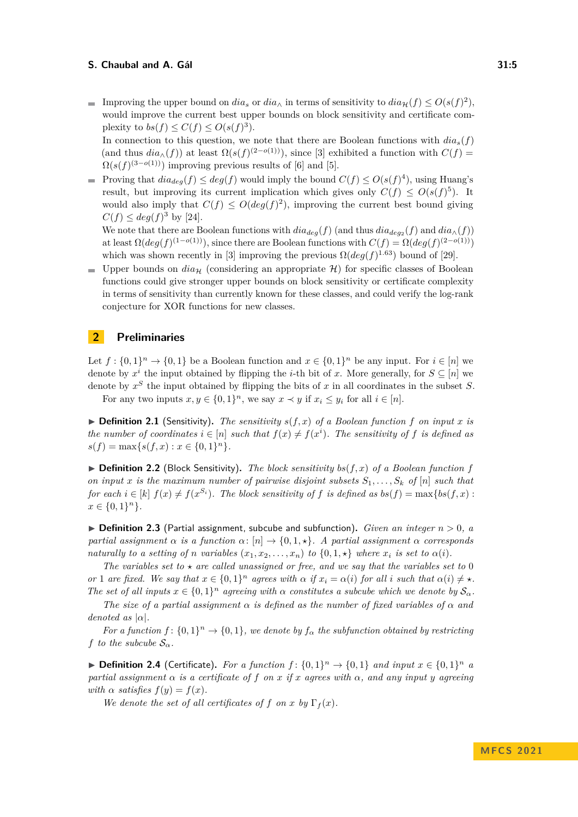Improving the upper bound on  $dia_s$  or  $dia_\wedge$  in terms of sensitivity to  $dia_\mathcal{H}(f) \leq O(s(f)^2)$ , would improve the current best upper bounds on block sensitivity and certificate complexity to  $bs(f) \leq C(f) \leq O(s(f)^3)$ .

In connection to this question, we note that there are Boolean functions with  $dia_s(f)$ (and thus  $dia_{\wedge}(f)$ ) at least  $\Omega(s(f)^{(2-o(1))})$ , since [\[3\]](#page-15-2) exhibited a function with  $C(f)$  =  $\Omega(s(f)^{(3-o(1))})$  improving previous results of [\[6\]](#page-16-12) and [\[5\]](#page-15-3).

Proving that  $dia_{deg}(f) \leq deg(f)$  would imply the bound  $C(f) \leq O(s(f)^4)$ , using Huang's result, but improving its current implication which gives only  $C(f) \leq O(s(f)^5)$ . It would also imply that  $C(f) \leq O(deg(f)^2)$ , improving the current best bound giving  $C(f) \leq deg(f)^3$  by [\[24\]](#page-17-11).

We note that there are Boolean functions with  $dia_{deg}(f)$  (and thus  $dia_{deg_2}(f)$  and  $dia_{\wedge}(f)$ ) at least  $\Omega(deg(f)^{(1 - o(1))})$ , since there are Boolean functions with  $C(f) = \Omega(deg(f)^{(2 - o(1))})$ which was shown recently in [\[3\]](#page-15-2) improving the previous  $\Omega(deg(f)^{1.63})$  bound of [\[29\]](#page-17-12).

**Upper bounds on**  $dia_{\mathcal{H}}$  (considering an appropriate  $\mathcal{H}$ ) for specific classes of Boolean functions could give stronger upper bounds on block sensitivity or certificate complexity in terms of sensitivity than currently known for these classes, and could verify the log-rank conjecture for XOR functions for new classes.

# **2 Preliminaries**

Let  $f: \{0,1\}^n \to \{0,1\}$  be a Boolean function and  $x \in \{0,1\}^n$  be any input. For  $i \in [n]$  we denote by  $x^i$  the input obtained by flipping the *i*-th bit of *x*. More generally, for  $S \subseteq [n]$  we denote by *x <sup>S</sup>* the input obtained by flipping the bits of *x* in all coordinates in the subset *S*.

For any two inputs  $x, y \in \{0, 1\}^n$ , we say  $x \prec y$  if  $x_i \leq y_i$  for all  $i \in [n]$ .

 $\triangleright$  **Definition 2.1** (Sensitivity). The sensitivity  $s(f, x)$  of a Boolean function f on input x is *the number of coordinates*  $i \in [n]$  *such that*  $f(x) \neq f(x^i)$ *. The sensitivity of f is defined as*  $s(f) = \max\{s(f, x) : x \in \{0, 1\}^n\}.$ 

 $\triangleright$  **Definition 2.2** (Block Sensitivity). The block sensitivity bs(f, x) of a Boolean function f *on input x is the maximum number of pairwise disjoint subsets S*1*, . . . , S<sup>k</sup> of* [*n*] *such that for each*  $i \in [k]$   $f(x) \neq f(x^{S_i})$ . The block sensitivity of f is defined as  $bs(f) = \max\{bs(f, x) :$  $x \in \{0, 1\}^n$ .

 $\blacktriangleright$  **Definition 2.3** (Partial assignment, subcube and subfunction). *Given an integer*  $n > 0$ , a *partial assignment*  $\alpha$  *is a function*  $\alpha$ : [*n*]  $\rightarrow$  {0*,* 1*, \**}*. A partial assignment*  $\alpha$  *corresponds naturally to a setting of <i>n variables*  $(x_1, x_2, \ldots, x_n)$  *to*  $\{0, 1, \star\}$  *where*  $x_i$  *is set to*  $\alpha(i)$ *.* 

The variables set to  $\star$  are called unassigned or free, and we say that the variables set to 0 or 1 are fixed. We say that  $x \in \{0,1\}^n$  agrees with  $\alpha$  if  $x_i = \alpha(i)$  for all i such that  $\alpha(i) \neq \star$ . *The set of all inputs*  $x \in \{0,1\}^n$  *agreeing with*  $\alpha$  *constitutes a subcube which we denote by*  $S_\alpha$ *.* 

*The size of a partial assignment α is defined as the number of fixed variables of α and denoted as*  $|\alpha|$ *.* 

*For a function*  $f: \{0,1\}^n \to \{0,1\}$ , we denote by  $f_\alpha$  the subfunction obtained by restricting *f to the subcube*  $S_\alpha$ *.* 

▶ **Definition 2.4** (Certificate). For a function  $f$ :  $\{0,1\}^n$  →  $\{0,1\}$  and input  $x \in \{0,1\}^n$  a *partial assignment*  $\alpha$  *is a certificate of*  $f$  *on*  $x$  *if*  $x$  *agrees with*  $\alpha$ *, and any input*  $y$  *agreeing with*  $\alpha$  *satisfies*  $f(y) = f(x)$ *.* 

*We denote the set of all certificates of f on x by*  $\Gamma_f(x)$ *.*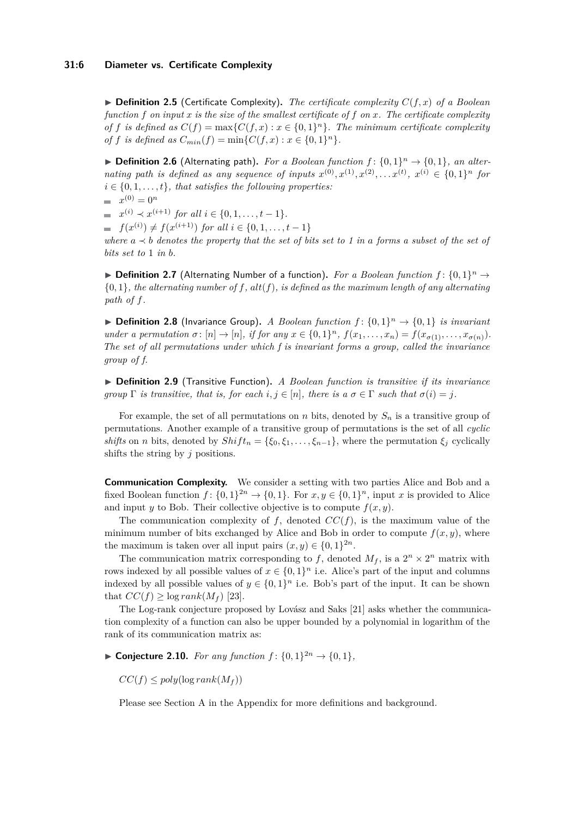▶ **Definition 2.5** (Certificate Complexity)**.** *The certificate complexity C*(*f, x*) *of a Boolean function f on input x is the size of the smallest certificate of f on x. The certificate complexity of f is defined as*  $C(f) = \max\{C(f, x) : x \in \{0, 1\}^n\}$ . The minimum certificate complexity *of f is defined as*  $C_{min}(f) = \min\{C(f, x) : x \in \{0, 1\}^n\}.$ 

▶ **Definition 2.6** (Alternating path). For a Boolean function  $f$ :  $\{0,1\}^n$  →  $\{0,1\}$ , an alter*nating path is defined as any sequence of inputs*  $x^{(0)}, x^{(1)}, x^{(2)}, \ldots x^{(t)}$ ,  $x^{(i)} \in \{0, 1\}^n$  for  $i \in \{0, 1, \ldots, t\}$ , that satisfies the following properties:  $x^{(0)} = 0^n$ 

 $x^{(i)} \prec x^{(i+1)}$  *for all*  $i \in \{0, 1, \ldots, t-1\}.$ 

 $f(x^{(i)}) \neq f(x^{(i+1)})$  *for all*  $i \in \{0, 1, \ldots, t-1\}$ 

*where*  $a \prec b$  *denotes the property that the set of bits set to 1 in a forms a subset of the set of bits set to* 1 *in b.*

▶ **Definition 2.7** (Alternating Number of a function). For a Boolean function  $f$ :  $\{0,1\}$ <sup>n</sup> →  ${0, 1}$ *, the alternating number of f, alt*(*f*)*, is defined as the maximum length of any alternating path of f.*

▶ **Definition 2.8** (Invariance Group). *A Boolean function*  $f$ :  $\{0,1\}^n$  →  $\{0,1\}$  *is invariant* under a permutation  $\sigma: [n] \to [n]$ , if for any  $x \in \{0,1\}^n$ ,  $f(x_1,...,x_n) = f(x_{\sigma(1)},...,x_{\sigma(n)})$ . *The set of all permutations under which f is invariant forms a group, called the invariance group of f.*

▶ **Definition 2.9** (Transitive Function)**.** *A Boolean function is transitive if its invariance group*  $\Gamma$  *is transitive, that is, for each i, j* ∈ [*n*]*, there is a*  $\sigma \in \Gamma$  *such that*  $\sigma(i) = j$ *.* 

For example, the set of all permutations on *n* bits, denoted by *S<sup>n</sup>* is a transitive group of permutations. Another example of a transitive group of permutations is the set of all *cyclic shifts* on *n* bits, denoted by  $Shift_n = {\xi_0, \xi_1, \ldots, \xi_{n-1}}$ , where the permutation  $\xi_i$  cyclically shifts the string by *j* positions.

**Communication Complexity.** We consider a setting with two parties Alice and Bob and a fixed Boolean function  $f: \{0,1\}^{2n} \to \{0,1\}$ . For  $x, y \in \{0,1\}^n$ , input x is provided to Alice and input *y* to Bob. Their collective objective is to compute  $f(x, y)$ .

The communication complexity of  $f$ , denoted  $CC(f)$ , is the maximum value of the minimum number of bits exchanged by Alice and Bob in order to compute  $f(x, y)$ , where the maximum is taken over all input pairs  $(x, y) \in \{0, 1\}^{2n}$ .

The communication matrix corresponding to f, denoted  $M_f$ , is a  $2^n \times 2^n$  matrix with rows indexed by all possible values of  $x \in \{0,1\}^n$  i.e. Alice's part of the input and columns indexed by all possible values of  $y \in \{0,1\}^n$  i.e. Bob's part of the input. It can be shown that  $CC(f) \geq \log rank(M_f)$  [\[23\]](#page-16-13).

The Log-rank conjecture proposed by Lovász and Saks [\[21\]](#page-16-14) asks whether the communication complexity of a function can also be upper bounded by a polynomial in logarithm of the rank of its communication matrix as:

▶ **Conjecture 2.10.** *For any function*  $f: \{0, 1\}^{2n} \rightarrow \{0, 1\}$ *,* 

 $CC(f) \leq poly(\log rank(M_f))$ 

Please see Section [A](#page-17-13) in the Appendix for more definitions and background.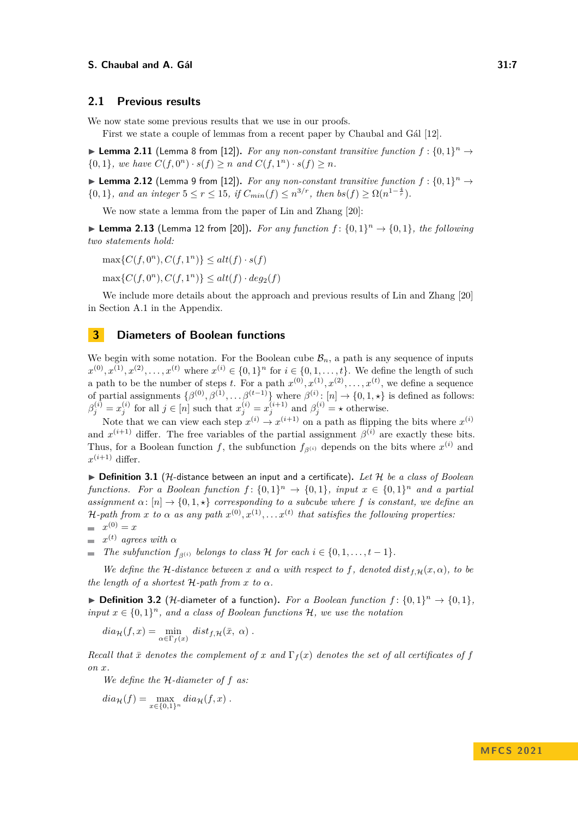### **2.1 Previous results**

We now state some previous results that we use in our proofs.

First we state a couple of lemmas from a recent paper by Chaubal and Gál [\[12\]](#page-16-9).

<span id="page-6-0"></span>▶ Lemma 2.11 (Lemma 8 from [\[12\]](#page-16-9)). For any non-constant transitive function  $f: \{0,1\}^n \rightarrow$  $\{0, 1\}$ *, we have*  $C(f, 0^n) \cdot s(f) \geq n$  *and*  $C(f, 1^n) \cdot s(f) \geq n$ *.* 

<span id="page-6-2"></span>▶ **Lemma 2.12** (Lemma 9 from [\[12\]](#page-16-9)). For any non-constant transitive function  $f: \{0,1\}^n \rightarrow$  ${0, 1}$ *, and an integer*  $5 \le r \le 15$ *, if*  $C_{min}(f) \le n^{3/r}$ *, then*  $bs(f) \ge \Omega(n^{1-\frac{4}{r}})$ *.* 

We now state a lemma from the paper of Lin and Zhang [\[20\]](#page-16-0):

<span id="page-6-1"></span>▶ **Lemma 2.13** (Lemma 12 from [\[20\]](#page-16-0)). For any function  $f: \{0,1\}^n \rightarrow \{0,1\}$ , the following *two statements hold:*

 $\max\{C(f, 0^n), C(f, 1^n)\} \leq alt(f) \cdot s(f)$ 

 $\max\{C(f, 0^n), C(f, 1^n)\} \leq alt(f) \cdot deg_2(f)$ 

We include more details about the approach and previous results of Lin and Zhang [\[20\]](#page-16-0) in Section [A.1](#page-18-0) in the Appendix.

# **3 Diameters of Boolean functions**

We begin with some notation. For the Boolean cube  $\mathcal{B}_n$ , a path is any sequence of inputs  $x^{(0)}, x^{(1)}, x^{(2)}, \ldots, x^{(t)}$  where  $x^{(i)} \in \{0, 1\}^n$  for  $i \in \{0, 1, \ldots, t\}$ . We define the length of such a path to be the number of steps *t*. For a path  $x^{(0)}, x^{(1)}, x^{(2)}, \ldots, x^{(t)}$ , we define a sequence of partial assignments  $\{\beta^{(0)}, \beta^{(1)}, \ldots \beta^{(t-1)}\}$  where  $\beta^{(i)}$ :  $[n] \to \{0, 1, \star\}$  is defined as follows:  $\beta_j^{(i)} = x_j^{(i)}$  for all  $j \in [n]$  such that  $x_j^{(i)} = x_j^{(i+1)}$  and  $\beta_j^{(i)} = \star$  otherwise.

Note that we can view each step  $x^{(i)} \to x^{(i+1)}$  on a path as flipping the bits where  $x^{(i)}$ and  $x^{(i+1)}$  differ. The free variables of the partial assignment  $\beta^{(i)}$  are exactly these bits. Thus, for a Boolean function *f*, the subfunction  $f_{\beta^{(i)}}$  depends on the bits where  $x^{(i)}$  and  $x^{(i+1)}$  differ.

▶ **Definition 3.1** (H-distance between an input and a certificate)**.** *Let* H *be a class of Boolean functions. For a Boolean function*  $f: \{0,1\}^n \to \{0,1\}$ , *input*  $x \in \{0,1\}^n$  *and a partial assignment*  $\alpha$ :  $[n] \rightarrow \{0, 1, \star\}$  *corresponding to a subcube where f is constant, we define an* H-path from x to  $\alpha$  as any path  $x^{(0)}, x^{(1)}, \ldots x^{(t)}$  that satisfies the following properties:  $x^{(0)} = x$ 

 $x^{(t)}$  *agrees with*  $\alpha$ 

*The subfunction*  $f_{\beta(i)}$  *belongs to class*  $\mathcal{H}$  *for each*  $i \in \{0, 1, \ldots, t-1\}$ *.* 

*We define the* H-distance between *x* and  $\alpha$  with respect to f, denoted  $dist_{f,H}(x, \alpha)$ , to be *the length of a shortest*  $H$ *-path from x to*  $\alpha$ *.* 

▶ **Definition 3.2** (*H*-diameter of a function). For a Boolean function  $f$ :  $\{0,1\}^n$  →  $\{0,1\}$ , *input*  $x \in \{0,1\}^n$ , and a class of Boolean functions  $H$ *, we use the notation* 

$$
dia_{\mathcal{H}}(f,x) = \min_{\alpha \in \Gamma_f(x)} dist_{f,\mathcal{H}}(\bar{x}, \alpha) .
$$

*Recall that*  $\bar{x}$  *denotes the complement of*  $x$  *and*  $\Gamma_f(x)$  *denotes the set of all certificates of*  $f$ *on x.*

*We define the* H*-diameter of f as:*

$$
dia_{\mathcal{H}}(f) = \max_{x \in \{0,1\}^n} dia_{\mathcal{H}}(f,x) .
$$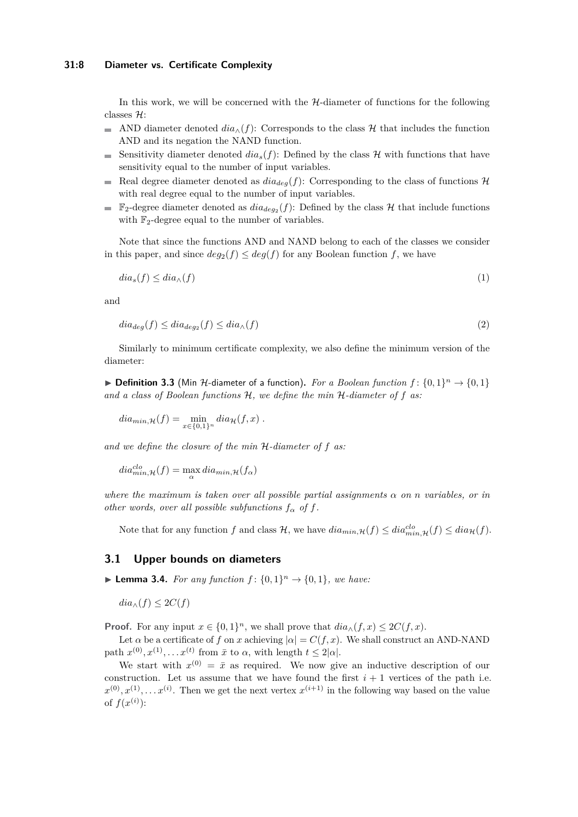### **31:8 Diameter vs. Certificate Complexity**

In this work, we will be concerned with the H-diameter of functions for the following classes H:

- $\frac{1}{2}$ AND diameter denoted  $dia_{\wedge}(f)$ : Corresponds to the class H that includes the function AND and its negation the NAND function.
- Sensitivity diameter denoted  $dia_s(f)$ : Defined by the class  $\mathcal H$  with functions that have  $\sim$ sensitivity equal to the number of input variables.
- Real degree diameter denoted as  $dia_{deg}(f)$ : Corresponding to the class of functions  $H$ m. with real degree equal to the number of input variables.
- $\mathbb{F}_2$ -degree diameter denoted as  $dia_{deg_2}(f)$ : Defined by the class  $\mathcal{H}$  that include functions  $\overline{\phantom{a}}$ with  $\mathbb{F}_2$ -degree equal to the number of variables.

Note that since the functions AND and NAND belong to each of the classes we consider in this paper, and since  $deg_2(f) \leq deg(f)$  for any Boolean function  $f$ , we have

<span id="page-7-1"></span><span id="page-7-0"></span>
$$
dia_s(f) \le dia_\wedge(f) \tag{1}
$$

and

$$
dia_{deg}(f) \leq dia_{deg_2}(f) \leq dia_{\wedge}(f)
$$
\n(2)

Similarly to minimum certificate complexity, we also define the minimum version of the diameter:

▶ **Definition 3.3** (Min H-diameter of a function). For a Boolean function  $f$ :  $\{0,1\}$ <sup>n</sup> →  $\{0,1\}$ *and a class of Boolean functions* H*, we define the min* H*-diameter of f as:*

$$
dia_{min,\mathcal{H}}(f) = \min_{x \in \{0,1\}^n} dia_{\mathcal{H}}(f,x) .
$$

*and we define the closure of the min* H*-diameter of f as:*

 $dia_{min, \mathcal{H}}^{clo}(f) = \max_{\alpha} dia_{min, \mathcal{H}}(f_{\alpha})$ 

*where the maximum is taken over all possible partial assignments α on n variables, or in other words, over all possible subfunctions*  $f_{\alpha}$  *of*  $f$ .

Note that for any function *f* and class  $\mathcal{H}$ , we have  $dia_{min,\mathcal{H}}(f) \leq dia_{min,\mathcal{H}}(f) \leq dia_{\mathcal{H}}(f)$ .

### <span id="page-7-2"></span>**3.1 Upper bounds on diameters**

<span id="page-7-3"></span>▶ **Lemma 3.4.** *For any function*  $f: \{0, 1\}^n \rightarrow \{0, 1\}$ *, we have:* 

 $dia_{\wedge}(f) \leq 2C(f)$ 

**Proof.** For any input  $x \in \{0,1\}^n$ , we shall prove that  $dia_{\wedge}(f, x) \leq 2C(f, x)$ .

Let  $\alpha$  be a certificate of f on x achieving  $|\alpha| = C(f, x)$ . We shall construct an AND-NAND path  $x^{(0)}, x^{(1)}, \ldots x^{(t)}$  from  $\bar{x}$  to  $\alpha$ , with length  $t \leq 2|\alpha|$ .

We start with  $x^{(0)} = \bar{x}$  as required. We now give an inductive description of our construction. Let us assume that we have found the first  $i + 1$  vertices of the path i.e.  $x^{(0)}, x^{(1)}, \ldots x^{(i)}$ . Then we get the next vertex  $x^{(i+1)}$  in the following way based on the value of  $f(x^{(i)})$ :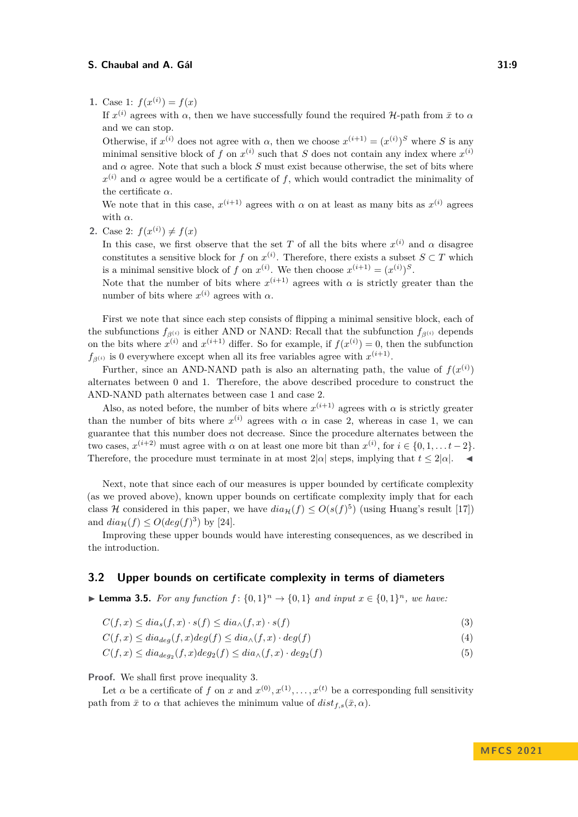**1.** Case 1:  $f(x^{(i)}) = f(x)$ 

If  $x^{(i)}$  agrees with  $\alpha$ , then we have successfully found the required H-path from  $\bar{x}$  to  $\alpha$ and we can stop.

Otherwise, if  $x^{(i)}$  does not agree with  $\alpha$ , then we choose  $x^{(i+1)} = (x^{(i)})^S$  where *S* is any minimal sensitive block of *f* on  $x^{(i)}$  such that *S* does not contain any index where  $x^{(i)}$ and  $\alpha$  agree. Note that such a block *S* must exist because otherwise, the set of bits where  $x^{(i)}$  and  $\alpha$  agree would be a certificate of f, which would contradict the minimality of the certificate *α*.

We note that in this case,  $x^{(i+1)}$  agrees with  $\alpha$  on at least as many bits as  $x^{(i)}$  agrees with *α*.

**2.** Case 2:  $f(x^{(i)}) \neq f(x)$ 

In this case, we first observe that the set *T* of all the bits where  $x^{(i)}$  and  $\alpha$  disagree constitutes a sensitive block for *f* on  $x^{(i)}$ . Therefore, there exists a subset  $S \subset T$  which is a minimal sensitive block of *f* on  $x^{(i)}$ . We then choose  $x^{(i+1)} = (x^{(i)})^S$ .

Note that the number of bits where  $x^{(i+1)}$  agrees with  $\alpha$  is strictly greater than the number of bits where  $x^{(i)}$  agrees with  $\alpha$ .

First we note that since each step consists of flipping a minimal sensitive block, each of the subfunctions  $f_{\beta(i)}$  is either AND or NAND: Recall that the subfunction  $f_{\beta(i)}$  depends on the bits where  $x^{(i)}$  and  $x^{(i+1)}$  differ. So for example, if  $f(x^{(i)}) = 0$ , then the subfunction  $f_{\beta^{(i)}}$  is 0 everywhere except when all its free variables agree with  $x^{(i+1)}$ .

Further, since an AND-NAND path is also an alternating path, the value of  $f(x^{(i)})$ alternates between 0 and 1. Therefore, the above described procedure to construct the AND-NAND path alternates between case 1 and case 2.

Also, as noted before, the number of bits where  $x^{(i+1)}$  agrees with  $\alpha$  is strictly greater than the number of bits where  $x^{(i)}$  agrees with  $\alpha$  in case 2, whereas in case 1, we can guarantee that this number does not decrease. Since the procedure alternates between the two cases,  $x^{(i+2)}$  must agree with  $\alpha$  on at least one more bit than  $x^{(i)}$ , for  $i \in \{0, 1, \ldots t-2\}$ . Therefore, the procedure must terminate in at most  $2|\alpha|$  steps, implying that  $t < 2|\alpha|$ .

Next, note that since each of our measures is upper bounded by certificate complexity (as we proved above), known upper bounds on certificate complexity imply that for each class H considered in this paper, we have  $dia_{\mathcal{H}}(f) \leq O(s(f)^5)$  (using Huang's result [\[17\]](#page-16-4)) and  $diag(f) \le O(deg(f)^3)$  by [\[24\]](#page-17-11).

Improving these upper bounds would have interesting consequences, as we described in the introduction.

### **3.2 Upper bounds on certificate complexity in terms of diameters**

<span id="page-8-1"></span>▶ **Lemma 3.5.** *For any function*  $f: \{0,1\}^n \to \{0,1\}$  *and input*  $x \in \{0,1\}^n$ *, we have:* 

<span id="page-8-0"></span> $C(f, x) \leq dia_s(f, x) \cdot s(f) \leq dia_\wedge(f, x) \cdot s(f)$  (3)

$$
C(f, x) \leq dia_{deg}(f, x)deg(f) \leq dia_{\wedge}(f, x) \cdot deg(f)
$$
\n<sup>(4)</sup>

<span id="page-8-3"></span><span id="page-8-2"></span>
$$
C(f,x) \leq dia_{deg_2}(f,x)deg_2(f) \leq dia_{\wedge}(f,x) \cdot deg_2(f)
$$
\n
$$
(5)
$$

**Proof.** We shall first prove inequality [3.](#page-8-0)

Let  $\alpha$  be a certificate of  $f$  on  $x$  and  $x^{(0)}, x^{(1)}, \ldots, x^{(t)}$  be a corresponding full sensitivity path from  $\bar{x}$  to  $\alpha$  that achieves the minimum value of  $dist_{f,s}(\bar{x}, \alpha)$ .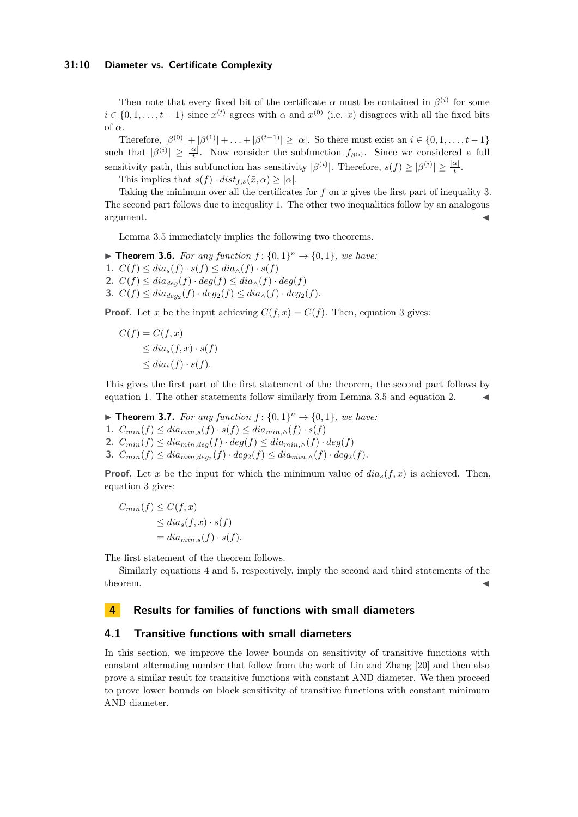### **31:10 Diameter vs. Certificate Complexity**

Then note that every fixed bit of the certificate  $\alpha$  must be contained in  $\beta^{(i)}$  for some  $i \in \{0, 1, \ldots, t-1\}$  since  $x^{(t)}$  agrees with  $\alpha$  and  $x^{(0)}$  (i.e.  $\bar{x}$ ) disagrees with all the fixed bits of *α*.

Therefore,  $|\beta^{(0)}| + |\beta^{(1)}| + \ldots + |\beta^{(t-1)}| \geq |\alpha|$ . So there must exist an  $i \in \{0, 1, \ldots, t-1\}$ such that  $|\beta^{(i)}| \geq \frac{|\alpha|}{t}$ . Now consider the subfunction  $f_{\beta^{(i)}}$ . Since we considered a full sensitivity path, this subfunction has sensitivity  $|\beta^{(i)}|$ . Therefore,  $s(f) \geq |\beta^{(i)}| \geq \frac{|\alpha|}{t}$ .

This implies that  $s(f) \cdot dist_{f,s}(\bar{x}, \alpha) \geq |\alpha|$ .

Taking the minimum over all the certificates for *f* on *x* gives the first part of inequality [3.](#page-8-0) The second part follows due to inequality [1.](#page-7-0) The other two inequalities follow by an analogous  $\blacksquare$ argument.  $\blacktriangleleft$ 

Lemma [3.5](#page-8-1) immediately implies the following two theorems.

<span id="page-9-1"></span>▶ **Theorem 3.6.** *For any function*  $f$ :  $\{0,1\}^n$  →  $\{0,1\}$ *, we have:* 

- 1.  $C(f) \leq dia_s(f) \cdot s(f) \leq dia_\wedge(f) \cdot s(f)$
- 2.  $C(f) \leq dia_{deg}(f) \cdot deg(f) \leq dia_{\wedge}(f) \cdot deg(f)$
- **3.**  $C(f) \leq dia_{deg_2}(f) \cdot deg_2(f) \leq dia_{\wedge}(f) \cdot deg_2(f)$ .

**Proof.** Let *x* be the input achieving  $C(f, x) = C(f)$ . Then, equation [3](#page-8-0) gives:

$$
C(f) = C(f, x)
$$
  
\n
$$
\leq dia_s(f, x) \cdot s(f)
$$
  
\n
$$
\leq dia_s(f) \cdot s(f).
$$

This gives the first part of the first statement of the theorem, the second part follows by equation [1.](#page-7-0) The other statements follow similarly from Lemma  $3.5$  and equation [2.](#page-7-1)

<span id="page-9-0"></span>▶ **Theorem 3.7.** *For any function*  $f$ :  $\{0,1\}^n$  →  $\{0,1\}$ *, we have:* 

- 1.  $C_{min}(f) \leq dia_{min,s}(f) \cdot s(f) \leq dia_{min,\wedge}(f) \cdot s(f)$
- 2.  $C_{min}(f) \leq dia_{min,deg}(f) \cdot deg(f) \leq dia_{min,\wedge}(f) \cdot deg(f)$
- **3.**  $C_{min}(f) \leq dia_{min,deg_2}(f) \cdot deg_2(f) \leq dia_{min,\wedge}(f) \cdot deg_2(f)$ .

**Proof.** Let *x* be the input for which the minimum value of  $dia<sub>s</sub>(f, x)$  is achieved. Then, equation [3](#page-8-0) gives:

$$
C_{min}(f) \leq C(f, x)
$$
  
\n
$$
\leq dia_s(f, x) \cdot s(f)
$$
  
\n
$$
= dia_{min,s}(f) \cdot s(f).
$$

The first statement of the theorem follows.

Similarly equations [4](#page-8-2) and [5,](#page-8-3) respectively, imply the second and third statements of the  $\bullet$  theorem.

# **4 Results for families of functions with small diameters**

### **4.1 Transitive functions with small diameters**

In this section, we improve the lower bounds on sensitivity of transitive functions with constant alternating number that follow from the work of Lin and Zhang [\[20\]](#page-16-0) and then also prove a similar result for transitive functions with constant AND diameter. We then proceed to prove lower bounds on block sensitivity of transitive functions with constant minimum AND diameter.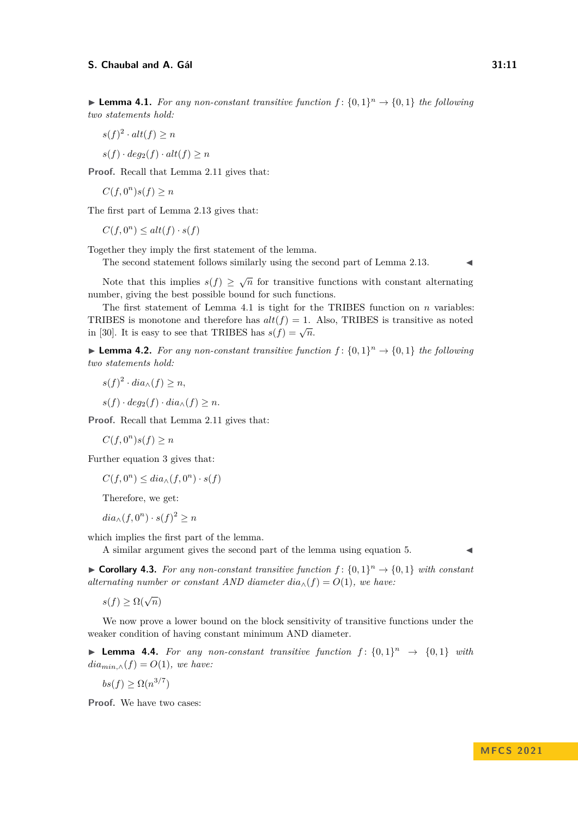<span id="page-10-0"></span>▶ **Lemma 4.1.** *For any non-constant transitive function*  $f$  :  $\{0,1\}$ <sup>n</sup> →  $\{0,1\}$  *the following two statements hold:*

- $s(f)^2 \cdot alt(f) \geq n$
- $s(f) \cdot deg_2(f) \cdot alt(f) \geq n$

**Proof.** Recall that Lemma [2.11](#page-6-0) gives that:

 $C(f, 0^n)s(f) \geq n$ 

The first part of Lemma [2.13](#page-6-1) gives that:

 $C(f, 0^n) \leq alt(f) \cdot s(f)$ 

Together they imply the first statement of the lemma.

The second statement follows similarly using the second part of Lemma [2.13.](#page-6-1)

Note that this implies  $s(f) \geq \sqrt{n}$  for transitive functions with constant alternating number, giving the best possible bound for such functions.

The first statement of Lemma [4.1](#page-10-0) is tight for the TRIBES function on *n* variables: TRIBES is monotone and therefore has  $alt(f) = 1$ . Also, TRIBES is transitive as noted in [\[30\]](#page-17-14). It is easy to see that TRIBES has  $s(f) = \sqrt{n}$ .

▶ **Lemma 4.2.** For any non-constant transitive function  $f$ :  $\{0,1\}$ <sup>n</sup> →  $\{0,1\}$  the following *two statements hold:*

- $s(f)^2 \cdot dia_{\wedge}(f) \geq n$ ,
- $s(f) \cdot deg_2(f) \cdot dia_{\wedge}(f) \geq n.$

**Proof.** Recall that Lemma [2.11](#page-6-0) gives that:

$$
C(f, 0^n)s(f) \ge n
$$

Further equation [3](#page-8-0) gives that:

 $C(f, 0^n) \leq dia_\wedge(f, 0^n) \cdot s(f)$ 

Therefore, we get:

 $dia_{\wedge}(f, 0^n) \cdot s(f)^2 \geq n$ 

which implies the first part of the lemma.

A similar argument gives the second part of the lemma using equation [5.](#page-8-3)

▶ **Corollary 4.3.** For any non-constant transitive function  $f$ :  $\{0,1\}$ <sup>n</sup> →  $\{0,1\}$  with constant *alternating number or constant AND diameter*  $dia_{\wedge}(f) = O(1)$ *, we have:* 

 $s(f) \geq \Omega(\sqrt{n})$ 

We now prove a lower bound on the block sensitivity of transitive functions under the weaker condition of having constant minimum AND diameter.

**• Lemma 4.4.** For any non-constant transitive function  $f: \{0,1\}^n \rightarrow \{0,1\}$  with  $dia_{min,∧}(f) = O(1)$ *, we have:* 

 $bs(f) \geq \Omega(n^{3/7})$ 

**Proof.** We have two cases: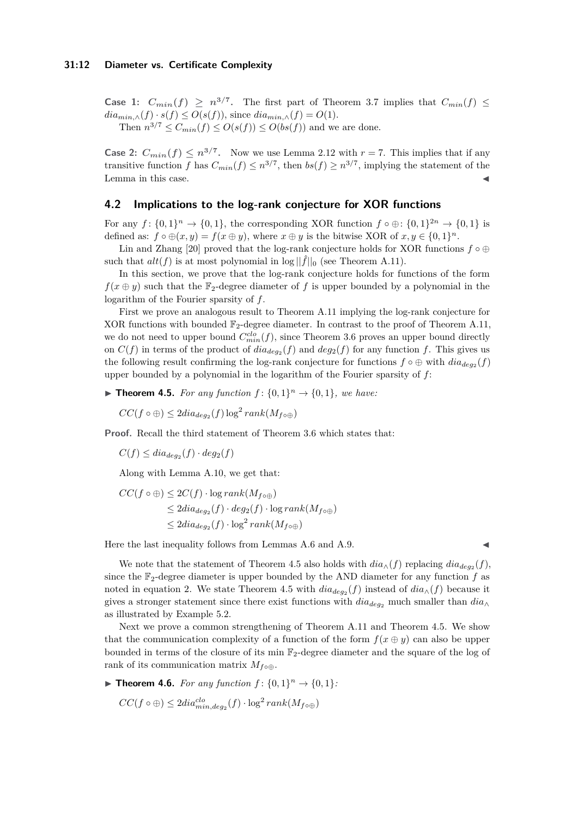### **31:12 Diameter vs. Certificate Complexity**

**Case 1:**  $C_{min}(f) \ge n^{3/7}$ . The first part of Theorem [3.7](#page-9-0) implies that  $C_{min}(f) \le$  $dia_{min,\wedge}(f) \cdot s(f) \leq O(s(f))$ , since  $dia_{min,\wedge}(f) = O(1)$ . Then  $n^{3/7} \leq C_{min}(f) \leq O(s(f)) \leq O(bs(f))$  and we are done.

**Case 2:**  $C_{min}(f) \leq n^{3/7}$ . Now we use Lemma [2.12](#page-6-2) with  $r = 7$ . This implies that if any transitive function *f* has  $C_{min}(f) \leq n^{3/7}$ , then  $bs(f) \geq n^{3/7}$ , implying the statement of the Lemma in this case.

### <span id="page-11-2"></span>**4.2 Implications to the log-rank conjecture for XOR functions**

For any  $f: \{0,1\}^n \to \{0,1\}$ , the corresponding XOR function  $f \circ \oplus: \{0,1\}^{2n} \to \{0,1\}$  is defined as:  $f \circ \bigoplus (x, y) = f(x \oplus y)$ , where  $x \oplus y$  is the bitwise XOR of  $x, y \in \{0, 1\}^n$ .

Lin and Zhang [\[20\]](#page-16-0) proved that the log-rank conjecture holds for XOR functions  $f \circ \oplus$ such that  $alt(f)$  is at most polynomial in  $log ||\hat{f}||_0$  (see Theorem [A.11\)](#page-19-0).

In this section, we prove that the log-rank conjecture holds for functions of the form  $f(x \oplus y)$  such that the  $\mathbb{F}_2$ -degree diameter of f is upper bounded by a polynomial in the logarithm of the Fourier sparsity of *f*.

First we prove an analogous result to Theorem [A.11](#page-19-0) implying the log-rank conjecture for XOR functions with bounded  $\mathbb{F}_2$ -degree diameter. In contrast to the proof of Theorem [A.11,](#page-19-0) we do not need to upper bound  $C_{min}^{clo}(f)$ , since Theorem [3.6](#page-9-1) proves an upper bound directly on  $C(f)$  in terms of the product of  $dia_{deg_2}(f)$  and  $deg_2(f)$  for any function  $f$ . This gives us the following result confirming the log-rank conjecture for functions  $f \circ \oplus$  with  $dia_{deg_2}(f)$ upper bounded by a polynomial in the logarithm of the Fourier sparsity of *f*:

<span id="page-11-0"></span>▶ **Theorem 4.5.** *For any function*  $f$ :  $\{0,1\}^n$  →  $\{0,1\}$ *, we have:* 

 $CC(f \circ \bigoplus) \leq 2diag_{2}(f) \log^{2} rank(M_{f \circ \bigoplus})$ 

**Proof.** Recall the third statement of Theorem [3.6](#page-9-1) which states that:

 $C(f) \leq dia_{deg_2}(f) \cdot deg_2(f)$ 

Along with Lemma [A.10,](#page-19-1) we get that:

$$
CC(f \circ \bigoplus) \leq 2C(f) \cdot \log rank(M_{f \circ \bigoplus})
$$
  
\n
$$
\leq 2dia_{deg_2}(f) \cdot deg_2(f) \cdot \log rank(M_{f \circ \bigoplus})
$$
  
\n
$$
\leq 2dia_{deg_2}(f) \cdot \log^2 rank(M_{f \circ \bigoplus})
$$

Here the last inequality follows from Lemmas  $A.6$  and  $A.9$ .

We note that the statement of Theorem [4.5](#page-11-0) also holds with  $dia_{\wedge}(f)$  replacing  $dia_{deg_2}(f)$ , since the  $\mathbb{F}_2$ -degree diameter is upper bounded by the AND diameter for any function  $f$  as noted in equation [2.](#page-7-1) We state Theorem [4.5](#page-11-0) with  $dia_{deg_2}(f)$  instead of  $dia_{\wedge}(f)$  because it gives a stronger statement since there exist functions with  $dia_{deq_2}$  much smaller than  $dia_{\wedge}$ as illustrated by Example [5.2.](#page-13-0)

Next we prove a common strengthening of Theorem [A.11](#page-19-0) and Theorem [4.5.](#page-11-0) We show that the communication complexity of a function of the form  $f(x \oplus y)$  can also be upper bounded in terms of the closure of its min  $\mathbb{F}_2$ -degree diameter and the square of the log of rank of its communication matrix  $M_{f \circ \oplus}$ .

<span id="page-11-1"></span>▶ **Theorem 4.6.** *For any function*  $f: \{0, 1\}^n \rightarrow \{0, 1\}$ *:* 

 $CC(f \circ \bigoplus) \leq 2diag^{clo}_{min,deg_2}(f) \cdot \log^2 rank(M_{f \circ \bigoplus})$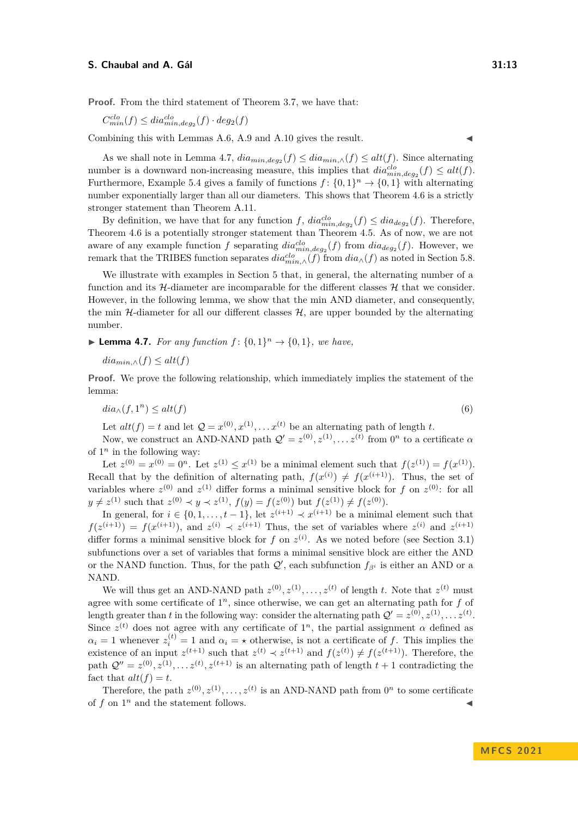**Proof.** From the third statement of Theorem [3.7,](#page-9-0) we have that:

 $C_{min}^{clo}(f) \leq dia_{min,deg_2}^{clo}(f) \cdot deg_2(f)$ 

Combining this with Lemmas [A.6,](#page-18-1) [A.9](#page-19-2) and [A.10](#page-19-1) gives the result.

As we shall note in Lemma [4.7,](#page-12-0)  $dia_{min,deg_2}(f) \leq dia_{min,\wedge}(f) \leq alt(f)$ . Since alternating number is a downward non-increasing measure, this implies that  $dia_{min,deg_2}^{clo}(f) \leq alt(f)$ . Furthermore, Example [5.4](#page-15-4) gives a family of functions  $f: \{0,1\}^n \to \{0,1\}$  with alternating number exponentially larger than all our diameters. This shows that Theorem [4.6](#page-11-1) is a strictly stronger statement than Theorem [A.11.](#page-19-0)

By definition, we have that for any function  $f$ ,  $dia_{min,deg_2}^{clo}(f) \leq dia_{deg_2}(f)$ . Therefore, Theorem [4.6](#page-11-1) is a potentially stronger statement than Theorem [4.5.](#page-11-0) As of now, we are not aware of any example function *f* separating  $dia_{min,deg_2}^{clo}(f)$  from  $dia_{deg_2}(f)$ . However, we remark that the TRIBES function separates  $dia_{min,\wedge}^{clo}(f)$  from  $dia_{\wedge}(f)$  as noted in Section [5.8.](#page-15-5)

We illustrate with examples in Section [5](#page-13-1) that, in general, the alternating number of a function and its  $H$ -diameter are incomparable for the different classes  $H$  that we consider. However, in the following lemma, we show that the min AND diameter, and consequently, the min  $H$ -diameter for all our different classes  $H$ , are upper bounded by the alternating number.

<span id="page-12-0"></span>▶ **Lemma 4.7.** *For any function*  $f$ :  $\{0,1\}$ <sup>*n*</sup>  $\rightarrow$   $\{0,1\}$ *, we have,* 

$$
dia_{min,\wedge}(f) \le alt(f)
$$

**Proof.** We prove the following relationship, which immediately implies the statement of the lemma:

$$
dia_{\wedge}(f,1^n) \le alt(f) \tag{6}
$$

Let  $alt(f) = t$  and let  $Q = x^{(0)}, x^{(1)}, \ldots x^{(t)}$  be an alternating path of length *t*.

Now, we construct an AND-NAND path  $Q' = z^{(0)}, z^{(1)}, \ldots z^{(t)}$  from  $0^n$  to a certificate  $\alpha$ of  $1^n$  in the following way:

Let  $z^{(0)} = x^{(0)} = 0^n$ . Let  $z^{(1)} \le x^{(1)}$  be a minimal element such that  $f(z^{(1)}) = f(x^{(1)})$ . Recall that by the definition of alternating path,  $f(x^{(i)}) \neq f(x^{(i+1)})$ . Thus, the set of variables where  $z^{(0)}$  and  $z^{(1)}$  differ forms a minimal sensitive block for *f* on  $z^{(0)}$ : for all  $y \neq z^{(1)}$  such that  $z^{(0)} \prec y \prec z^{(1)}$ ,  $f(y) = f(z^{(0)})$  but  $f(z^{(1)}) \neq f(z^{(0)})$ .

In general, for  $i \in \{0, 1, \ldots, t-1\}$ , let  $z^{(i+1)} \prec x^{(i+1)}$  be a minimal element such that  $f(z^{(i+1)}) = f(x^{(i+1)})$ , and  $z^{(i)} \prec z^{(i+1)}$  Thus, the set of variables where  $z^{(i)}$  and  $z^{(i+1)}$ differ forms a minimal sensitive block for  $f$  on  $z^{(i)}$ . As we noted before (see Section [3.1\)](#page-7-2) subfunctions over a set of variables that forms a minimal sensitive block are either the AND or the NAND function. Thus, for the path  $\mathcal{Q}'$ , each subfunction  $f_{\beta^i}$  is either an AND or a NAND.

We will thus get an AND-NAND path  $z^{(0)}, z^{(1)}, \ldots, z^{(t)}$  of length *t*. Note that  $z^{(t)}$  must agree with some certificate of  $1<sup>n</sup>$ , since otherwise, we can get an alternating path for  $f$  of length greater than *t* in the following way: consider the alternating path  $\mathcal{Q}' = z^{(0)}, z^{(1)}, \ldots z^{(t)}$ . Since  $z^{(t)}$  does not agree with any certificate of  $1^n$ , the partial assignment  $\alpha$  defined as  $\alpha_i = 1$  whenever  $z_i^{(t)} = 1$  and  $\alpha_i = \star$  otherwise, is not a certificate of *f*. This implies the existence of an input  $z^{(t+1)}$  such that  $z^{(t)} \prec z^{(t+1)}$  and  $f(z^{(t)}) \neq f(z^{(t+1)})$ . Therefore, the path  $Q'' = z^{(0)}, z^{(1)}, \ldots z^{(t)}, z^{(t+1)}$  is an alternating path of length  $t + 1$  contradicting the fact that  $alt(f) = t$ .

Therefore, the path  $z^{(0)}, z^{(1)}, \ldots, z^{(t)}$  is an AND-NAND path from  $0^n$  to some certificate of  $f$  on  $1^n$  and the statement follows.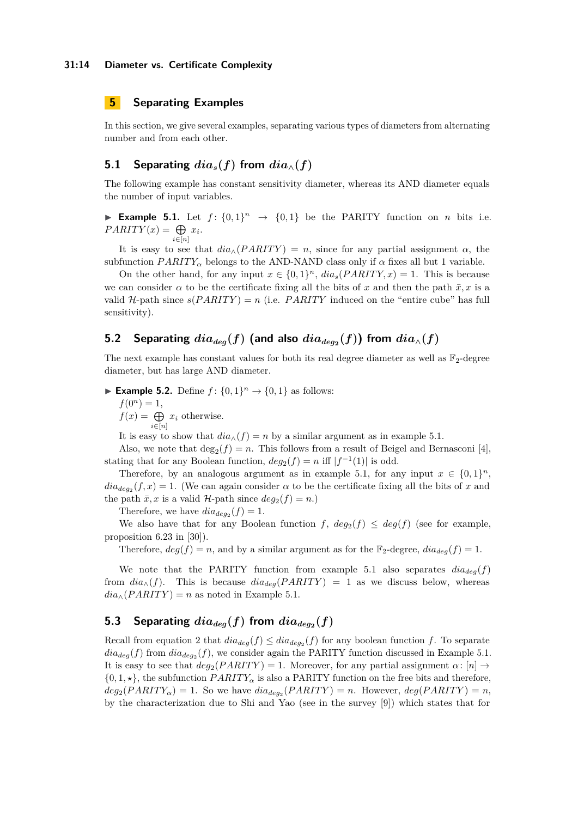# <span id="page-13-1"></span>**5 Separating Examples**

In this section, we give several examples, separating various types of diameters from alternating number and from each other.

# **5.1 Separating**  $dia_s(f)$  from  $dia_{\wedge}(f)$

The following example has constant sensitivity diameter, whereas its AND diameter equals the number of input variables.

<span id="page-13-2"></span>**Example 5.1.** Let  $f: \{0,1\}^n \rightarrow \{0,1\}$  be the PARITY function on *n* bits i.e.  $PARITY(x) = \bigoplus x_i$ .  $i \in [n]$ 

It is easy to see that  $dia_{\wedge}(PARITY) = n$ , since for any partial assignment  $\alpha$ , the subfunction *PARITY<sub>α</sub>* belongs to the AND-NAND class only if  $\alpha$  fixes all but 1 variable.

On the other hand, for any input  $x \in \{0,1\}^n$ ,  $dia_s(PARITY,x) = 1$ . This is because we can consider  $\alpha$  to be the certificate fixing all the bits of x and then the path  $\bar{x}, x$  is a valid  $H$ -path since  $s(PARITY) = n$  (i.e. *PARITY* induced on the "entire cube" has full sensitivity).

# ${\bf 5.2}$  Separating  $dia_{deg}(f)$  (and also  $dia_{deg_2}(f)$ ) from  $dia_\wedge(f)$

The next example has constant values for both its real degree diameter as well as  $\mathbb{F}_2$ -degree diameter, but has large AND diameter.

<span id="page-13-0"></span>▶ **Example 5.2.** Define  $f: \{0, 1\}^n \to \{0, 1\}$  as follows:

 $f(0^n) = 1$ ,

 $f(x) = \bigoplus$  $\bigoplus_{i\in[n]} x_i$  otherwise.

It is easy to show that  $dia_{\wedge}(f) = n$  by a similar argument as in example [5.1.](#page-13-2)

Also, we note that  $\deg_2(f) = n$ . This follows from a result of Beigel and Bernasconi [\[4\]](#page-15-6), stating that for any Boolean function,  $deg_2(f) = n$  iff  $|f^{-1}(1)|$  is odd.

Therefore, by an analogous argument as in example [5.1,](#page-13-2) for any input  $x \in \{0,1\}^n$ ,  $dia_{deg_2}(f, x) = 1$ . (We can again consider  $\alpha$  to be the certificate fixing all the bits of *x* and the path  $\bar{x}, x$  is a valid *H*-path since  $deg_2(f) = n$ .)

Therefore, we have  $dia_{deg_2}(f) = 1$ .

We also have that for any Boolean function  $f$ ,  $deg_2(f) \leq deg(f)$  (see for example, proposition 6.23 in [\[30\]](#page-17-14)).

Therefore,  $deg(f) = n$ , and by a similar argument as for the  $\mathbb{F}_2$ -degree,  $diag(f) = 1$ .

We note that the PARITY function from example [5.1](#page-13-2) also separates  $dia_{deg}(f)$ from  $dia_{\wedge}(f)$ . This is because  $dia_{deg}(PARITY) = 1$  as we discuss below, whereas  $dia_{\wedge}(PARITY) = n$  as noted in Example [5.1.](#page-13-2)

# 5.3 Separating  $dia_{deg}(f)$  from  $dia_{deg_2}(f)$

Recall from equation [2](#page-7-1) that  $dia_{deg}(f) \leq dia_{deg_2}(f)$  for any boolean function f. To separate  $dia_{deg}(f)$  from  $dia_{deg_2}(f)$ , we consider again the PARITY function discussed in Example [5.1.](#page-13-2) It is easy to see that  $deg_2(PARITY) = 1$ . Moreover, for any partial assignment  $\alpha: [n] \rightarrow$  $\{0, 1, \star\}$ , the subfunction *PARITY*<sub>*a*</sub> is also a PARITY function on the free bits and therefore,  $deg_2(PARITY_\alpha) = 1$ . So we have  $diag_2(PARITY) = n$ . However,  $deg(PARITY) = n$ , by the characterization due to Shi and Yao (see in the survey [\[9\]](#page-16-15)) which states that for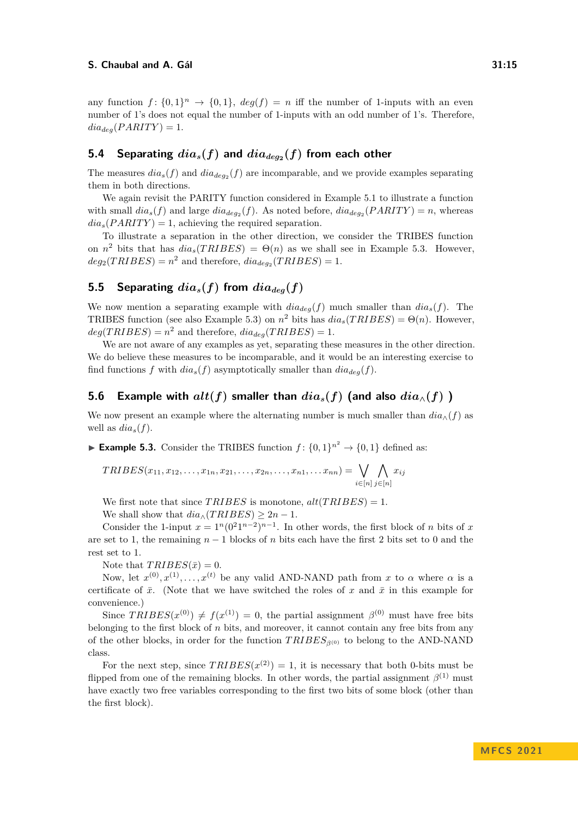any function  $f: \{0,1\}^n \to \{0,1\}$ ,  $deg(f) = n$  iff the number of 1-inputs with an even number of 1's does not equal the number of 1-inputs with an odd number of 1's. Therefore,  $dia_{deg}(PARITY) = 1.$ 

# ${\bf 5.4}$  Separating  $dia_s(f)$  and  $dia_{deg_2}(f)$  from each other

The measures  $dia_s(f)$  and  $dia_{deg_2}(f)$  are incomparable, and we provide examples separating them in both directions.

We again revisit the PARITY function considered in Example [5.1](#page-13-2) to illustrate a function with small  $dia_s(f)$  and large  $dia_{deg_2}(f)$ . As noted before,  $dia_{deg_2}(PARITY) = n$ , whereas  $dia_s(PARITY) = 1$ , achieving the required separation.

To illustrate a separation in the other direction, we consider the TRIBES function on  $n^2$  bits that has  $dia_s(TRIBES) = \Theta(n)$  as we shall see in Example [5.3.](#page-14-0) However,  $deg_2(TRIBES) = n^2$  and therefore,  $dia_{deg_2}(TRIBES) = 1$ .

# **5.5** Separating  $dia_s(f)$  from  $dia_{dea}(f)$

We now mention a separating example with  $dia_{deg}(f)$  much smaller than  $dia_s(f)$ . The TRIBES function (see also Example [5.3\)](#page-14-0) on  $n^2$  bits has  $dia_s(TRIBES) = \Theta(n)$ . However,  $deg(TRIBES) = n^2$  and therefore,  $diag(TRIBES) = 1$ .

We are not aware of any examples as yet, separating these measures in the other direction. We do believe these measures to be incomparable, and it would be an interesting exercise to find functions *f* with  $dia_s(f)$  asymptotically smaller than  $dia_{deg}(f)$ .

### **5.6** Example with  $alt(f)$  smaller than  $dia_s(f)$  (and also  $dia_{\wedge}(f)$ )

We now present an example where the alternating number is much smaller than  $dia_{\wedge}(f)$  as well as  $dia_s(f)$ .

<span id="page-14-0"></span>▶ **Example 5.3.** Consider the TRIBES function  $f: \{0, 1\}^{n^2} \to \{0, 1\}$  defined as:

$$
TRIBES(x_{11}, x_{12}, \ldots, x_{1n}, x_{21}, \ldots, x_{2n}, \ldots, x_{n1}, \ldots, x_{nn}) = \bigvee_{i \in [n]} \bigwedge_{j \in [n]} x_{ij}
$$

We first note that since  $TRIBES$  is monotone,  $alt(TRIBES) = 1$ .

We shall show that  $dia_{\wedge}(TRIBES) \geq 2n - 1$ .

Consider the 1-input  $x = 1^n (0^2 1^{n-2})^{n-1}$ . In other words, the first block of *n* bits of *x* are set to 1, the remaining *n* − 1 blocks of *n* bits each have the first 2 bits set to 0 and the rest set to 1.

Note that  $TRIBES(\bar{x}) = 0$ .

Now, let  $x^{(0)}, x^{(1)}, \ldots, x^{(t)}$  be any valid AND-NAND path from x to  $\alpha$  where  $\alpha$  is a certificate of  $\bar{x}$ . (Note that we have switched the roles of  $x$  and  $\bar{x}$  in this example for convenience.)

Since  $TRIBES(x^{(0)}) \neq f(x^{(1)}) = 0$ , the partial assignment  $\beta^{(0)}$  must have free bits belonging to the first block of *n* bits, and moreover, it cannot contain any free bits from any of the other blocks, in order for the function *T RIBESβ*(0) to belong to the AND-NAND class.

For the next step, since  $TRIBES(x^{(2)}) = 1$ , it is necessary that both 0-bits must be flipped from one of the remaining blocks. In other words, the partial assignment  $\beta^{(1)}$  must have exactly two free variables corresponding to the first two bits of some block (other than the first block).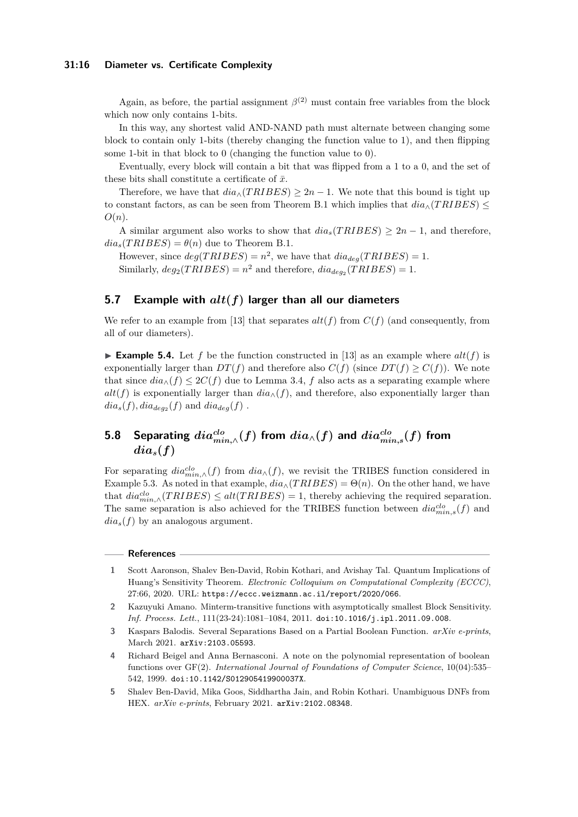### **31:16 Diameter vs. Certificate Complexity**

Again, as before, the partial assignment  $\beta^{(2)}$  must contain free variables from the block which now only contains 1-bits.

In this way, any shortest valid AND-NAND path must alternate between changing some block to contain only 1-bits (thereby changing the function value to 1), and then flipping some 1-bit in that block to 0 (changing the function value to 0).

Eventually, every block will contain a bit that was flipped from a 1 to a 0, and the set of these bits shall constitute a certificate of  $\bar{x}$ .

Therefore, we have that  $dia_{\wedge}(TRIBES) \geq 2n - 1$ . We note that this bound is tight up to constant factors, as can be seen from Theorem [B.1](#page-19-3) which implies that  $dia_\wedge (TRIBES) \leq$ *O*(*n*).

A similar argument also works to show that  $dia_s(TRIBES) > 2n - 1$ , and therefore,  $dia_s(TRIBES) = \theta(n)$  due to Theorem [B.1.](#page-19-3)

However, since  $deg(TRIBES) = n^2$ , we have that  $diag(TRIBES) = 1$ . Similarly,  $deg_2(TRIBES) = n^2$  and therefore,  $dia_{deg_2}(TRIBES) = 1$ .

# **5.7 Example with** *alt***(***f***) larger than all our diameters**

We refer to an example from [\[13\]](#page-16-16) that separates  $alt(f)$  from  $C(f)$  (and consequently, from all of our diameters).

<span id="page-15-4"></span>**Example 5.4.** Let f be the function constructed in [\[13\]](#page-16-16) as an example where  $alt(f)$  is exponentially larger than  $DT(f)$  and therefore also  $C(f)$  (since  $DT(f) \geq C(f)$ ). We note that since  $dia_{\wedge}(f) \leq 2C(f)$  due to Lemma [3.4,](#page-7-3) f also acts as a separating example where  $alt(f)$  is exponentially larger than  $dia_{\wedge}(f)$ , and therefore, also exponentially larger than  $dia_s(f), dia_{deg_2}(f)$  and  $dia_{deg}(f)$ .

# <span id="page-15-5"></span> ${\bf 5.8}$  Separating  $dia_{min,\wedge}^{clo}(f)$  from  $dia_{\wedge}(f)$  and  $dia_{min,s}^{clo}(f)$  from  $dia_s(f)$

For separating  $dia_{min,\wedge}^{clo}(f)$  from  $dia_{\wedge}(f)$ , we revisit the TRIBES function considered in Example [5.3.](#page-14-0) As noted in that example,  $dia_{\wedge}(TRIBES) = \Theta(n)$ . On the other hand, we have that  $dia_{min,\wedge}^{clo}(TRIBES) \le alt(TRIBES) = 1$ , thereby achieving the required separation. The same separation is also achieved for the TRIBES function between  $dia_{min,s}^{clo}(f)$  and  $dia_s(f)$  by an analogous argument.

#### **References**

- <span id="page-15-0"></span>**1** Scott Aaronson, Shalev Ben-David, Robin Kothari, and Avishay Tal. Quantum Implications of Huang's Sensitivity Theorem. *Electronic Colloquium on Computational Complexity (ECCC)*, 27:66, 2020. URL: <https://eccc.weizmann.ac.il/report/2020/066>.
- <span id="page-15-1"></span>**2** Kazuyuki Amano. Minterm-transitive functions with asymptotically smallest Block Sensitivity. *Inf. Process. Lett.*, 111(23-24):1081–1084, 2011. [doi:10.1016/j.ipl.2011.09.008](https://doi.org/10.1016/j.ipl.2011.09.008).
- <span id="page-15-2"></span>**3** Kaspars Balodis. Several Separations Based on a Partial Boolean Function. *arXiv e-prints*, March 2021. [arXiv:2103.05593](http://arxiv.org/abs/2103.05593).
- <span id="page-15-6"></span>**4** Richard Beigel and Anna Bernasconi. A note on the polynomial representation of boolean functions over GF(2). *International Journal of Foundations of Computer Science*, 10(04):535– 542, 1999. [doi:10.1142/S012905419900037X](https://doi.org/10.1142/S012905419900037X).
- <span id="page-15-3"></span>**5** Shalev Ben-David, Mika Goos, Siddhartha Jain, and Robin Kothari. Unambiguous DNFs from HEX. *arXiv e-prints*, February 2021. [arXiv:2102.08348](http://arxiv.org/abs/2102.08348).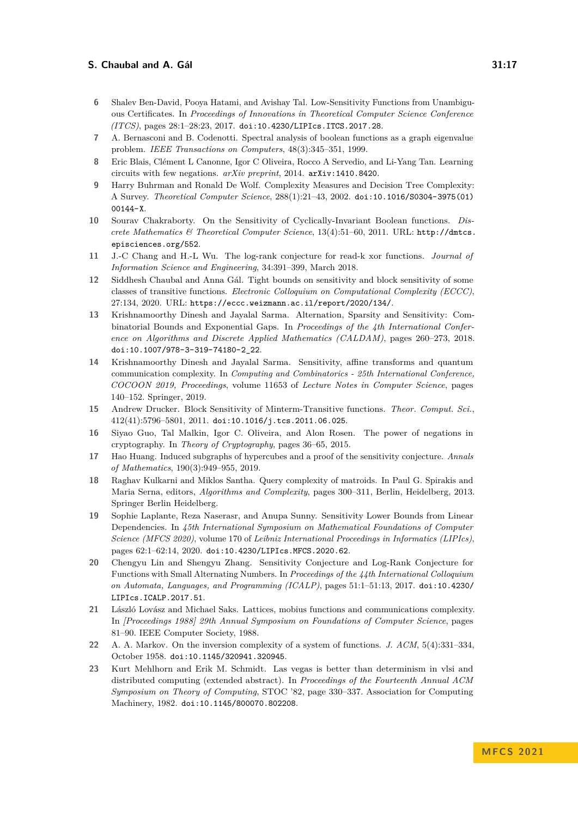- <span id="page-16-12"></span>**6** Shalev Ben-David, Pooya Hatami, and Avishay Tal. Low-Sensitivity Functions from Unambiguous Certificates. In *Proceedings of Innovations in Theoretical Computer Science Conference (ITCS)*, pages 28:1–28:23, 2017. [doi:10.4230/LIPIcs.ITCS.2017.28](https://doi.org/10.4230/LIPIcs.ITCS.2017.28).
- <span id="page-16-17"></span>**7** A. Bernasconi and B. Codenotti. Spectral analysis of boolean functions as a graph eigenvalue problem. *IEEE Transactions on Computers*, 48(3):345–351, 1999.
- <span id="page-16-2"></span>**8** Eric Blais, Clément L Canonne, Igor C Oliveira, Rocco A Servedio, and Li-Yang Tan. Learning circuits with few negations. *arXiv preprint*, 2014. [arXiv:1410.8420](http://arxiv.org/abs/1410.8420).
- <span id="page-16-15"></span>**9** Harry Buhrman and Ronald De Wolf. Complexity Measures and Decision Tree Complexity: A Survey. *Theoretical Computer Science*, 288(1):21–43, 2002. [doi:10.1016/S0304-3975\(01\)](https://doi.org/10.1016/S0304-3975(01)00144-X) [00144-X](https://doi.org/10.1016/S0304-3975(01)00144-X).
- <span id="page-16-7"></span>**10** Sourav Chakraborty. On the Sensitivity of Cyclically-Invariant Boolean functions. *Discrete Mathematics & Theoretical Computer Science*, 13(4):51–60, 2011. URL: [http://dmtcs.](http://dmtcs.episciences.org/552) [episciences.org/552](http://dmtcs.episciences.org/552).
- <span id="page-16-11"></span>**11** J.-C Chang and H.-L Wu. The log-rank conjecture for read-k xor functions. *Journal of Information Science and Engineering*, 34:391–399, March 2018.
- <span id="page-16-9"></span>**12** Siddhesh Chaubal and Anna Gál. Tight bounds on sensitivity and block sensitivity of some classes of transitive functions. *Electronic Colloquium on Computational Complexity (ECCC)*, 27:134, 2020. URL: <https://eccc.weizmann.ac.il/report/2020/134/>.
- <span id="page-16-16"></span>**13** Krishnamoorthy Dinesh and Jayalal Sarma. Alternation, Sparsity and Sensitivity: Combinatorial Bounds and Exponential Gaps. In *Proceedings of the 4th International Conference on Algorithms and Discrete Applied Mathematics (CALDAM)*, pages 260–273, 2018. [doi:10.1007/978-3-319-74180-2\\_22](https://doi.org/10.1007/978-3-319-74180-2_22).
- <span id="page-16-6"></span>**14** Krishnamoorthy Dinesh and Jayalal Sarma. Sensitivity, affine transforms and quantum communication complexity. In *Computing and Combinatorics - 25th International Conference, COCOON 2019, Proceedings*, volume 11653 of *Lecture Notes in Computer Science*, pages 140–152. Springer, 2019.
- <span id="page-16-8"></span>**15** Andrew Drucker. Block Sensitivity of Minterm-Transitive functions. *Theor. Comput. Sci.*, 412(41):5796–5801, 2011. [doi:10.1016/j.tcs.2011.06.025](https://doi.org/10.1016/j.tcs.2011.06.025).
- <span id="page-16-3"></span>**16** Siyao Guo, Tal Malkin, Igor C. Oliveira, and Alon Rosen. The power of negations in cryptography. In *Theory of Cryptography*, pages 36–65, 2015.
- <span id="page-16-4"></span>**17** Hao Huang. Induced subgraphs of hypercubes and a proof of the sensitivity conjecture. *Annals of Mathematics*, 190(3):949–955, 2019.
- <span id="page-16-10"></span>**18** Raghav Kulkarni and Miklos Santha. Query complexity of matroids. In Paul G. Spirakis and Maria Serna, editors, *Algorithms and Complexity*, pages 300–311, Berlin, Heidelberg, 2013. Springer Berlin Heidelberg.
- <span id="page-16-5"></span>**19** Sophie Laplante, Reza Naserasr, and Anupa Sunny. Sensitivity Lower Bounds from Linear Dependencies. In *45th International Symposium on Mathematical Foundations of Computer Science (MFCS 2020)*, volume 170 of *Leibniz International Proceedings in Informatics (LIPIcs)*, pages 62:1–62:14, 2020. [doi:10.4230/LIPIcs.MFCS.2020.62](https://doi.org/10.4230/LIPIcs.MFCS.2020.62).
- <span id="page-16-0"></span>**20** Chengyu Lin and Shengyu Zhang. Sensitivity Conjecture and Log-Rank Conjecture for Functions with Small Alternating Numbers. In *Proceedings of the 44th International Colloquium on Automata, Languages, and Programming (ICALP)*, pages 51:1–51:13, 2017. [doi:10.4230/](https://doi.org/10.4230/LIPIcs.ICALP.2017.51) [LIPIcs.ICALP.2017.51](https://doi.org/10.4230/LIPIcs.ICALP.2017.51).
- <span id="page-16-14"></span>**21** László Lovász and Michael Saks. Lattices, mobius functions and communications complexity. In *[Proceedings 1988] 29th Annual Symposium on Foundations of Computer Science*, pages 81–90. IEEE Computer Society, 1988.
- <span id="page-16-1"></span>**22** A. A. Markov. On the inversion complexity of a system of functions. *J. ACM*, 5(4):331–334, October 1958. [doi:10.1145/320941.320945](https://doi.org/10.1145/320941.320945).
- <span id="page-16-13"></span>**23** Kurt Mehlhorn and Erik M. Schmidt. Las vegas is better than determinism in vlsi and distributed computing (extended abstract). In *Proceedings of the Fourteenth Annual ACM Symposium on Theory of Computing*, STOC '82, page 330–337. Association for Computing Machinery, 1982. [doi:10.1145/800070.802208](https://doi.org/10.1145/800070.802208).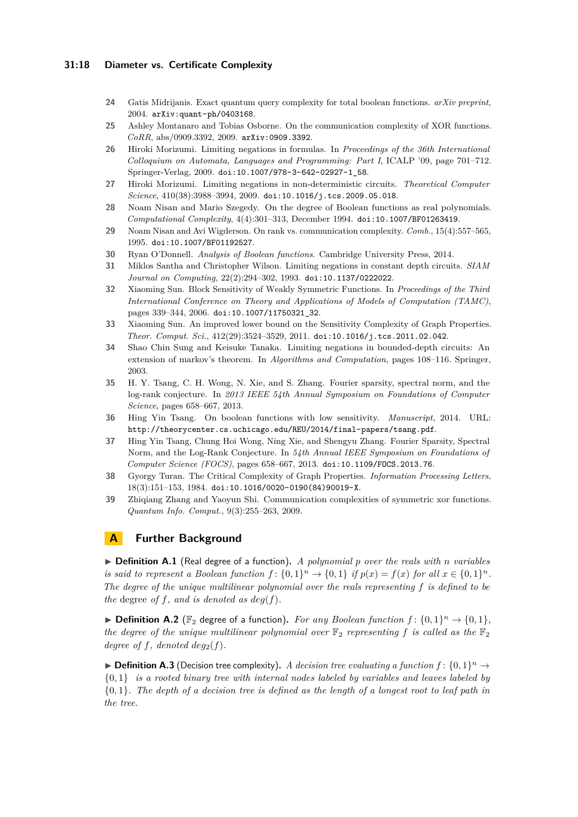### **31:18 Diameter vs. Certificate Complexity**

- <span id="page-17-11"></span>**24** Gatis Midrijanis. Exact quantum query complexity for total boolean functions. *arXiv preprint*, 2004. [arXiv:quant-ph/0403168](http://arxiv.org/abs/quant-ph/0403168).
- <span id="page-17-8"></span>**25** Ashley Montanaro and Tobias Osborne. On the communication complexity of XOR functions. *CoRR*, abs/0909.3392, 2009. [arXiv:0909.3392](http://arxiv.org/abs/0909.3392).
- <span id="page-17-2"></span>**26** Hiroki Morizumi. Limiting negations in formulas. In *Proceedings of the 36th International Colloquium on Automata, Languages and Programming: Part I*, ICALP '09, page 701–712. Springer-Verlag, 2009. [doi:10.1007/978-3-642-02927-1\\_58](https://doi.org/10.1007/978-3-642-02927-1_58).
- <span id="page-17-3"></span>**27** Hiroki Morizumi. Limiting negations in non-deterministic circuits. *Theoretical Computer Science*, 410(38):3988–3994, 2009. [doi:10.1016/j.tcs.2009.05.018](https://doi.org/10.1016/j.tcs.2009.05.018).
- <span id="page-17-4"></span>**28** Noam Nisan and Mario Szegedy. On the degree of Boolean functions as real polynomials. *Computational Complexity*, 4(4):301–313, December 1994. [doi:10.1007/BF01263419](https://doi.org/10.1007/BF01263419).
- <span id="page-17-12"></span>**29** Noam Nisan and Avi Wigderson. On rank vs. communication complexity. *Comb.*, 15(4):557–565, 1995. [doi:10.1007/BF01192527](https://doi.org/10.1007/BF01192527).
- <span id="page-17-14"></span>**30** Ryan O'Donnell. *Analysis of Boolean functions*. Cambridge University Press, 2014.
- <span id="page-17-0"></span>**31** Miklos Santha and Christopher Wilson. Limiting negations in constant depth circuits. *SIAM Journal on Computing*, 22(2):294–302, 1993. [doi:10.1137/0222022](https://doi.org/10.1137/0222022).
- <span id="page-17-5"></span>**32** Xiaoming Sun. Block Sensitivity of Weakly Symmetric Functions. In *Proceedings of the Third International Conference on Theory and Applications of Models of Computation (TAMC)*, pages 339–344, 2006. [doi:10.1007/11750321\\_32](https://doi.org/10.1007/11750321_32).
- <span id="page-17-7"></span>**33** Xiaoming Sun. An improved lower bound on the Sensitivity Complexity of Graph Properties. *Theor. Comput. Sci.*, 412(29):3524–3529, 2011. [doi:10.1016/j.tcs.2011.02.042](https://doi.org/10.1016/j.tcs.2011.02.042).
- <span id="page-17-1"></span>**34** Shao Chin Sung and Keisuke Tanaka. Limiting negations in bounded-depth circuits: An extension of markov's theorem. In *Algorithms and Computation*, pages 108–116. Springer, 2003.
- <span id="page-17-10"></span>**35** H. Y. Tsang, C. H. Wong, N. Xie, and S. Zhang. Fourier sparsity, spectral norm, and the log-rank conjecture. In *2013 IEEE 54th Annual Symposium on Foundations of Computer Science*, pages 658–667, 2013.
- <span id="page-17-15"></span>**36** Hing Yin Tsang. On boolean functions with low sensitivity. *Manuscript*, 2014. URL: <http://theorycenter.cs.uchicago.edu/REU/2014/final-papers/tsang.pdf>.
- <span id="page-17-16"></span>**37** Hing Yin Tsang, Chung Hoi Wong, Ning Xie, and Shengyu Zhang. Fourier Sparsity, Spectral Norm, and the Log-Rank Conjecture. In *54th Annual IEEE Symposium on Foundations of Computer Science (FOCS)*, pages 658–667, 2013. [doi:10.1109/FOCS.2013.76](https://doi.org/10.1109/FOCS.2013.76).
- <span id="page-17-6"></span>**38** Gyorgy Turan. The Critical Complexity of Graph Properties. *Information Processing Letters*, 18(3):151–153, 1984. [doi:10.1016/0020-0190\(84\)90019-X](https://doi.org/10.1016/0020-0190(84)90019-X).
- <span id="page-17-9"></span>**39** Zhiqiang Zhang and Yaoyun Shi. Communication complexities of symmetric xor functions. *Quantum Info. Comput.*, 9(3):255–263, 2009.

# <span id="page-17-13"></span>**A Further Background**

▶ **Definition A.1** (Real degree of a function)**.** *A polynomial p over the reals with n variables is said to represent a Boolean function*  $f: \{0,1\}^n \to \{0,1\}$  *if*  $p(x) = f(x)$  *for all*  $x \in \{0,1\}^n$ *. The degree of the unique multilinear polynomial over the reals representing f is defined to be the* degree *of*  $f$ *, and is denoted as*  $deg(f)$ *.* 

▶ **Definition A.2** ( $\mathbb{F}_2$  degree of a function). For any Boolean function  $f$ :  $\{0,1\}^n$  →  $\{0,1\}$ , *the degree of the unique multilinear polynomial over*  $\mathbb{F}_2$  *representing f is called as the*  $\mathbb{F}_2$ *degree of*  $f$ *, denoted*  $deg_2(f)$ *.* 

▶ **Definition A.3** (Decision tree complexity). A decision tree evaluating a function  $f$ :  $\{0,1\}$ <sup>n</sup> → {0*,* 1} *is a rooted binary tree with internal nodes labeled by variables and leaves labeled by* {0*,* 1}*. The depth of a decision tree is defined as the length of a longest root to leaf path in the tree.*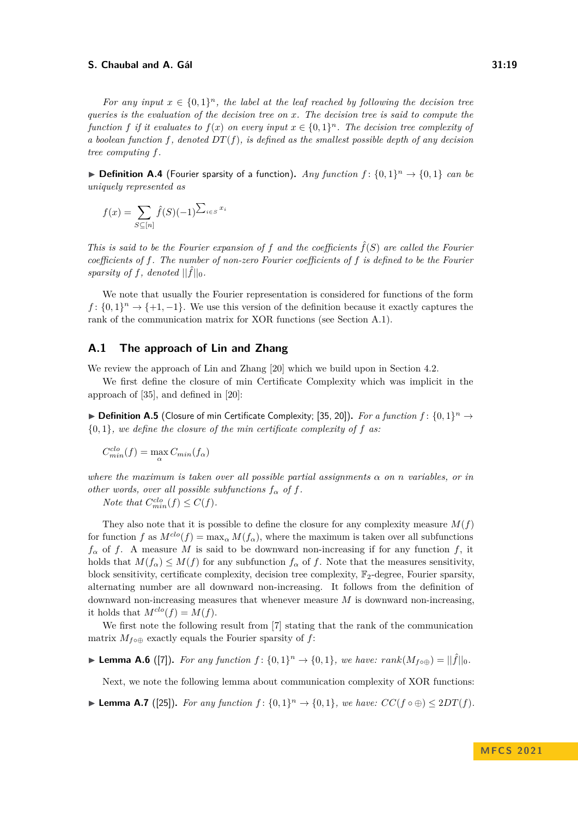*For any input*  $x \in \{0,1\}^n$ , the label at the leaf reached by following the decision tree *queries is the evaluation of the decision tree on x. The decision tree is said to compute the function f if it evaluates to*  $f(x)$  *on every input*  $x \in \{0,1\}^n$ *. The decision tree complexity of a boolean function*  $f$ *, denoted*  $DT(f)$ *, is defined as the smallest possible depth of any decision tree computing f.*

▶ **Definition A.4** (Fourier sparsity of a function). *Any function*  $f$  :  $\{0,1\}^n$  →  $\{0,1\}$  *can be uniquely represented as*

$$
f(x) = \sum_{S \subseteq [n]} \hat{f}(S)(-1)^{\sum_{i \in S} x_i}
$$

*This is said to be the Fourier expansion of*  $f$  *and the coefficients*  $\hat{f}(S)$  *are called the Fourier coefficients of f. The number of non-zero Fourier coefficients of f is defined to be the Fourier sparsity of*  $f$ *, denoted*  $||\hat{f}||_0$ *.* 

We note that usually the Fourier representation is considered for functions of the form  $f: \{0,1\}^n \to \{+1,-1\}$ . We use this version of the definition because it exactly captures the rank of the communication matrix for XOR functions (see Section [A.1\)](#page-18-0).

### <span id="page-18-0"></span>**A.1 The approach of Lin and Zhang**

We review the approach of Lin and Zhang [\[20\]](#page-16-0) which we build upon in Section [4.2.](#page-11-2)

We first define the closure of min Certificate Complexity which was implicit in the approach of [\[35\]](#page-17-10), and defined in [\[20\]](#page-16-0):

▶ **Definition A.5** (Closure of min Certificate Complexity; [\[35,](#page-17-10) [20\]](#page-16-0)). For a function  $f$ :  $\{0,1\}^n$  → {0*,* 1}*, we define the closure of the min certificate complexity of f as:*

$$
C_{min}^{clo}(f) = \max_{\alpha} C_{min}(f_{\alpha})
$$

*where the maximum is taken over all possible partial assignments*  $\alpha$  *on n variables, or in other words, over all possible subfunctions*  $f_{\alpha}$  *of*  $f$ *.* 

*Note that*  $C_{min}^{clo}(f) \leq C(f)$ *.* 

They also note that it is possible to define the closure for any complexity measure  $M(f)$ for function *f* as  $M^{clo}(f) = \max_{\alpha} M(f_{\alpha})$ , where the maximum is taken over all subfunctions  $f_\alpha$  of *f*. A measure *M* is said to be downward non-increasing if for any function *f*, it holds that  $M(f_\alpha) \leq M(f)$  for any subfunction  $f_\alpha$  of f. Note that the measures sensitivity, block sensitivity, certificate complexity, decision tree complexity,  $\mathbb{F}_2$ -degree, Fourier sparsity, alternating number are all downward non-increasing. It follows from the definition of downward non-increasing measures that whenever measure *M* is downward non-increasing, it holds that  $M^{clo}(f) = M(f)$ .

We first note the following result from [\[7\]](#page-16-17) stating that the rank of the communication matrix  $M_{f \circ \oplus}$  exactly equals the Fourier sparsity of *f*:

<span id="page-18-1"></span>▶ **Lemma A.6** ([\[7\]](#page-16-17)). For any function  $f: \{0,1\}^n \to \{0,1\}$ , we have:  $rank(M_{f \circ \bigoplus}) = ||\hat{f}||_0$ .

Next, we note the following lemma about communication complexity of XOR functions:

<span id="page-18-2"></span>▶ **Lemma A.7** ([\[25\]](#page-17-8)). *For any function*  $f: \{0,1\}^n \to \{0,1\}$ *, we have:*  $CC(f \circ \oplus) \leq 2DT(f)$ *.*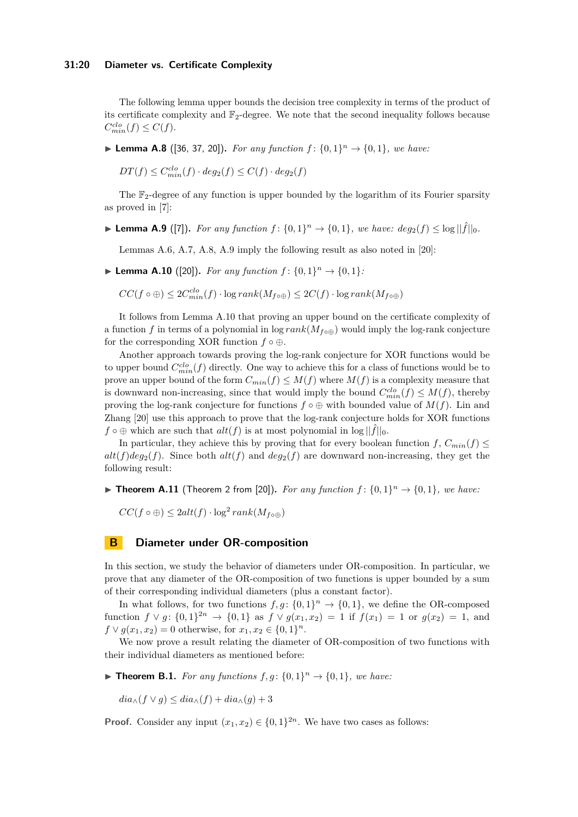### **31:20 Diameter vs. Certificate Complexity**

The following lemma upper bounds the decision tree complexity in terms of the product of its certificate complexity and  $\mathbb{F}_2$ -degree. We note that the second inequality follows because  $C_{min}^{clo}(f) \leq C(f).$ 

<span id="page-19-4"></span>▶ **Lemma A.8** ([\[36,](#page-17-15) [37,](#page-17-16) [20\]](#page-16-0)). For any function  $f: \{0, 1\}^n \to \{0, 1\}$ , we have:

 $DT(f) \leq C_{min}^{clo}(f) \cdot deg_2(f) \leq C(f) \cdot deg_2(f)$ 

The  $\mathbb{F}_2$ -degree of any function is upper bounded by the logarithm of its Fourier sparsity as proved in [\[7\]](#page-16-17):

<span id="page-19-2"></span>▶ **Lemma A.9** ([\[7\]](#page-16-17)). For any function  $f: \{0,1\}^n \to \{0,1\}$ , we have:  $deg_2(f) \leq log ||\hat{f}||_0$ .

Lemmas [A.6,](#page-18-1) [A.7,](#page-18-2) [A.8,](#page-19-4) [A.9](#page-19-2) imply the following result as also noted in [\[20\]](#page-16-0):

<span id="page-19-1"></span>▶ **Lemma A.10** ([\[20\]](#page-16-0)). *For any function*  $f: \{0, 1\}^n \to \{0, 1\}$ *:* 

 $CC(f \circ \bigoplus)$  ≤  $2C_{min}^{clo}(f) \cdot \log rank(M_{f \circ \bigoplus})$  ≤  $2C(f) \cdot \log rank(M_{f \circ \bigoplus})$ 

It follows from Lemma [A.10](#page-19-1) that proving an upper bound on the certificate complexity of a function *f* in terms of a polynomial in  $\log rank(M_{f \circ \oplus})$  would imply the log-rank conjecture for the corresponding XOR function  $f \circ \oplus$ .

Another approach towards proving the log-rank conjecture for XOR functions would be to upper bound  $C_{min}^{clo}(f)$  directly. One way to achieve this for a class of functions would be to prove an upper bound of the form  $C_{min}(f) \leq M(f)$  where  $M(f)$  is a complexity measure that is downward non-increasing, since that would imply the bound  $C_{min}^{clo}(f) \leq M(f)$ , thereby proving the log-rank conjecture for functions  $f \circ \oplus$  with bounded value of  $M(f)$ . Lin and Zhang [\[20\]](#page-16-0) use this approach to prove that the log-rank conjecture holds for XOR functions  $f \circ \oplus$  which are such that  $alt(f)$  is at most polynomial in  $\log ||\hat{f}||_0$ .

In particular, they achieve this by proving that for every boolean function  $f, C_{min}(f)$  $alt(f)deg_2(f)$ . Since both  $alt(f)$  and  $deg_2(f)$  are downward non-increasing, they get the following result:

<span id="page-19-0"></span>▶ **Theorem A.11** (Theorem 2 from [\[20\]](#page-16-0)). For any function  $f: \{0,1\}^n \rightarrow \{0,1\}$ , we have:

 $CC(f \circ \bigoplus) \leq 2alt(f) \cdot \log^2 rank(M_{f \circ \bigoplus})$ 

# **B Diameter under OR-composition**

In this section, we study the behavior of diameters under OR-composition. In particular, we prove that any diameter of the OR-composition of two functions is upper bounded by a sum of their corresponding individual diameters (plus a constant factor).

In what follows, for two functions  $f, g: \{0, 1\}^n \to \{0, 1\}$ , we define the OR-composed function  $f \lor g: \{0,1\}^{2n} \to \{0,1\}$  as  $f \lor g(x_1,x_2) = 1$  if  $f(x_1) = 1$  or  $g(x_2) = 1$ , and  $f \vee g(x_1, x_2) = 0$  otherwise, for  $x_1, x_2 \in \{0, 1\}^n$ .

We now prove a result relating the diameter of OR-composition of two functions with their individual diameters as mentioned before:

<span id="page-19-3"></span>▶ **Theorem B.1.** *For any functions*  $f, g$ :  $\{0, 1\}$ <sup>*n*</sup> →  $\{0, 1\}$ *, we have:* 

 $dia_{\wedge}(f \vee g) \leq dia_{\wedge}(f) + dia_{\wedge}(g) + 3$ 

**Proof.** Consider any input  $(x_1, x_2) \in \{0, 1\}^{2n}$ . We have two cases as follows: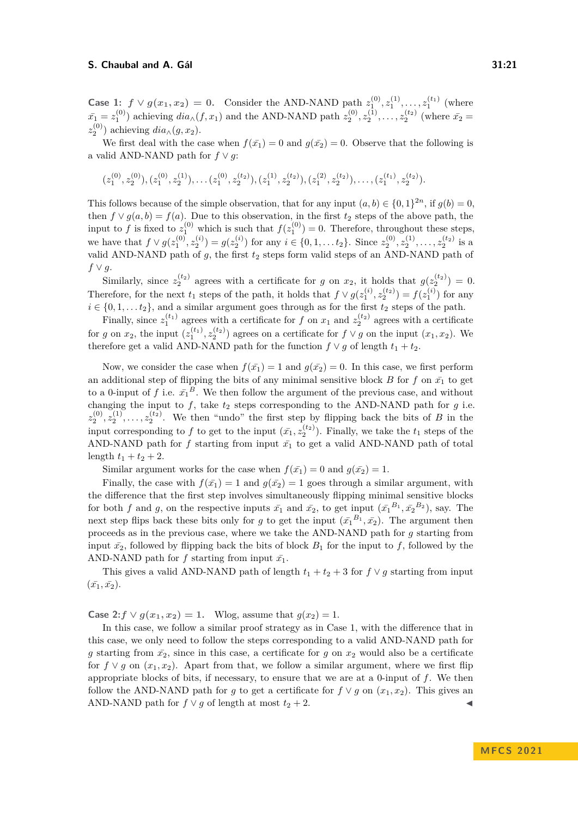**Case 1:**  $f \vee g(x_1, x_2) = 0$ . Consider the AND-NAND path  $z_1^{(0)}, z_1^{(1)}, \ldots, z_1^{(t_1)}$  (where  $\bar{x_1} = z_1^{(0)}$  achieving  $dia_{\wedge}(f, x_1)$  and the AND-NAND path  $z_2^{(0)}, z_2^{(1)}, \ldots, z_2^{(t_2)}$  (where  $\bar{x_2} =$  $z_2^{(0)}$ ) achieving  $dia_{\wedge}(g, x_2)$ .

We first deal with the case when  $f(\bar{x}_1) = 0$  and  $g(\bar{x}_2) = 0$ . Observe that the following is a valid AND-NAND path for  $f \vee g$ :

$$
(z_1^{(0)},z_2^{(0)}),(z_1^{(0)},z_2^{(1)}),\ldots (z_1^{(0)},z_2^{(t_2)}),(z_1^{(1)},z_2^{(t_2)}),(z_1^{(2)},z_2^{(t_2)}),\ldots,(z_1^{(t_1)},z_2^{(t_2)}).
$$

This follows because of the simple observation, that for any input  $(a, b) \in \{0, 1\}^{2n}$ , if  $g(b) = 0$ , then  $f \vee g(a, b) = f(a)$ . Due to this observation, in the first  $t_2$  steps of the above path, the input to *f* is fixed to  $z_1^{(0)}$  which is such that  $f(z_1^{(0)}) = 0$ . Therefore, throughout these steps, we have that  $f \vee g(z_1^{(0)}, z_2^{(i)}) = g(z_2^{(i)})$  for any  $i \in \{0, 1, \dots t_2\}$ . Since  $z_2^{(0)}, z_2^{(1)}, \dots, z_2^{(t_2)}$  is a valid AND-NAND path of  $g$ , the first  $t_2$  steps form valid steps of an AND-NAND path of *f* ∨ *g*.

Similarly, since  $z_2^{(t_2)}$  agrees with a certificate for *g* on  $x_2$ , it holds that  $g(z_2^{(t_2)}) = 0$ . Therefore, for the next  $t_1$  steps of the path, it holds that  $f \vee g(z_1^{(i)}, z_2^{(t_2)}) = f(z_1^{(i)})$  for any  $i \in \{0, 1, \ldots, t_2\}$ , and a similar argument goes through as for the first  $t_2$  steps of the path.

Finally, since  $z_1^{(t_1)}$  agrees with a certificate for *f* on  $x_1$  and  $z_2^{(t_2)}$  agrees with a certificate for *g* on  $x_2$ , the input  $(z_1^{(t_1)}, z_2^{(t_2)})$  agrees on a certificate for  $f \vee g$  on the input  $(x_1, x_2)$ . We therefore get a valid AND-NAND path for the function  $f \vee g$  of length  $t_1 + t_2$ .

Now, we consider the case when  $f(\bar{x_1}) = 1$  and  $g(\bar{x_2}) = 0$ . In this case, we first perform an additional step of flipping the bits of any minimal sensitive block *B* for *f* on  $\bar{x_1}$  to get to a 0-input of f i.e.  $\bar{x_1}^B$ . We then follow the argument of the previous case, and without changing the input to  $f$ , take  $t_2$  steps corresponding to the AND-NAND path for  $g$  i.e.  $z_2^{(0)}, z_2^{(1)}, \ldots, z_2^{(t_2)}$ . We then "undo" the first step by flipping back the bits of *B* in the input corresponding to f to get to the input  $(\bar{x_1}, z_2^{(t_2)})$ . Finally, we take the  $t_1$  steps of the AND-NAND path for f starting from input  $\bar{x_1}$  to get a valid AND-NAND path of total length  $t_1 + t_2 + 2$ .

Similar argument works for the case when  $f(\bar{x_1}) = 0$  and  $g(\bar{x_2}) = 1$ .

Finally, the case with  $f(\bar{x}_1) = 1$  and  $g(\bar{x}_2) = 1$  goes through a similar argument, with the difference that the first step involves simultaneously flipping minimal sensitive blocks for both *f* and *g*, on the respective inputs  $\bar{x_1}$  and  $\bar{x_2}$ , to get input  $(\bar{x_1}^{B_1}, \bar{x_2}^{B_2})$ , say. The next step flips back these bits only for *g* to get the input  $(\bar{x_1}^{B_1}, \bar{x_2})$ . The argument then proceeds as in the previous case, where we take the AND-NAND path for *g* starting from input  $\bar{x}_2$ , followed by flipping back the bits of block  $B_1$  for the input to f, followed by the AND-NAND path for *f* starting from input  $\bar{x_1}$ .

This gives a valid AND-NAND path of length  $t_1 + t_2 + 3$  for  $f \vee g$  starting from input  $(\bar{x_1}, \bar{x_2}).$ 

**Case 2:***f*  $\vee$  *g*(*x*<sub>1</sub>*, x*<sub>2</sub>) = 1. Wlog, assume that *g*(*x*<sub>2</sub>) = 1.

In this case, we follow a similar proof strategy as in Case 1, with the difference that in this case, we only need to follow the steps corresponding to a valid AND-NAND path for *g* starting from  $\bar{x}_2$ , since in this case, a certificate for *g* on  $x_2$  would also be a certificate for  $f \vee g$  on  $(x_1, x_2)$ . Apart from that, we follow a similar argument, where we first flip appropriate blocks of bits, if necessary, to ensure that we are at a 0-input of *f*. We then follow the AND-NAND path for *g* to get a certificate for  $f \vee g$  on  $(x_1, x_2)$ . This gives an AND-NAND path for  $f \vee g$  of length at most  $t_2 + 2$ .